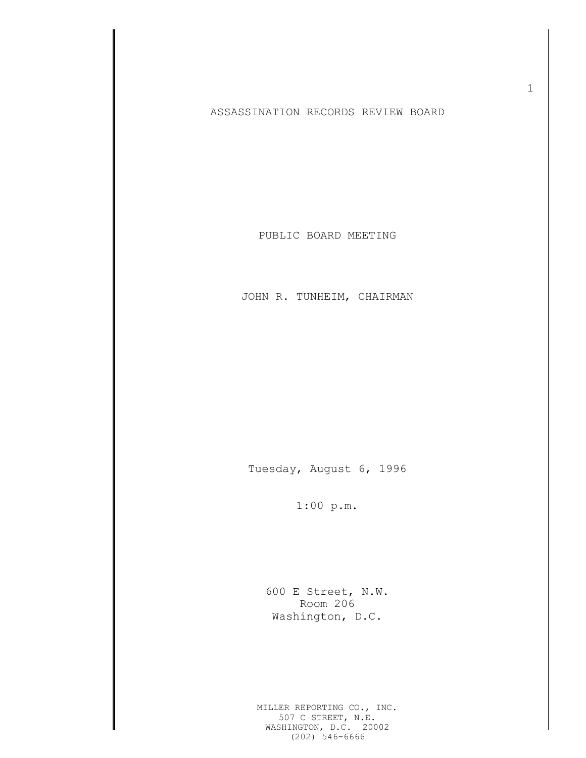## ASSASSINATION RECORDS REVIEW BOARD

PUBLIC BOARD MEETING

JOHN R. TUNHEIM, CHAIRMAN

Tuesday, August 6, 1996

1:00 p.m.

600 E Street, N.W. Room 206 Washington, D.C.

MILLER REPORTING CO., INC. 507 C STREET, N.E. WASHINGTON, D.C. 20002 (202) 546-6666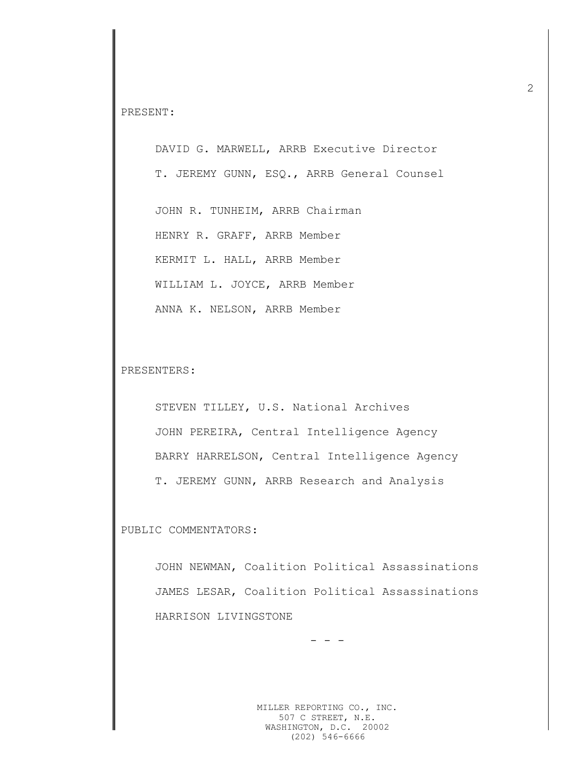PRESENT:

DAVID G. MARWELL, ARRB Executive Director T. JEREMY GUNN, ESQ., ARRB General Counsel

JOHN R. TUNHEIM, ARRB Chairman HENRY R. GRAFF, ARRB Member KERMIT L. HALL, ARRB Member WILLIAM L. JOYCE, ARRB Member ANNA K. NELSON, ARRB Member

PRESENTERS:

STEVEN TILLEY, U.S. National Archives JOHN PEREIRA, Central Intelligence Agency BARRY HARRELSON, Central Intelligence Agency T. JEREMY GUNN, ARRB Research and Analysis

PUBLIC COMMENTATORS:

JOHN NEWMAN, Coalition Political Assassinations JAMES LESAR, Coalition Political Assassinations HARRISON LIVINGSTONE

- - -

MILLER REPORTING CO., INC. 507 C STREET, N.E. WASHINGTON, D.C. 20002 (202) 546-6666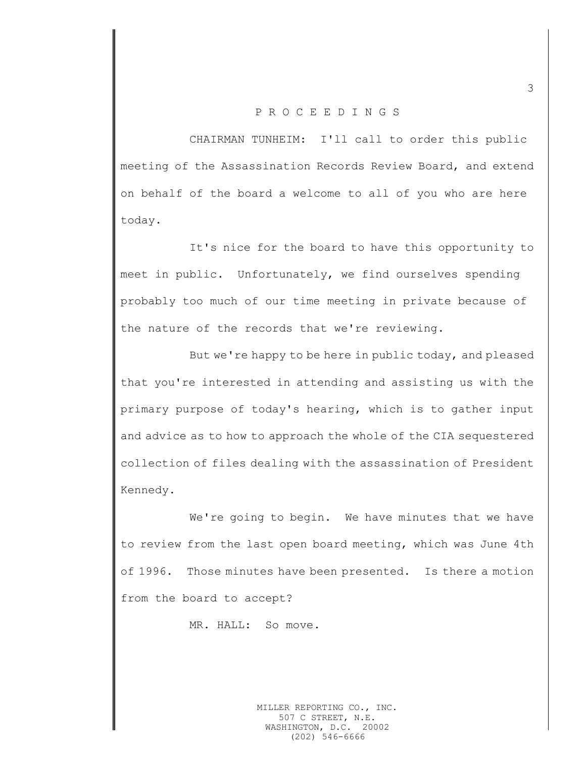## P R O C E E D I N G S

CHAIRMAN TUNHEIM: I'll call to order this public meeting of the Assassination Records Review Board, and extend on behalf of the board a welcome to all of you who are here today.

It's nice for the board to have this opportunity to meet in public. Unfortunately, we find ourselves spending probably too much of our time meeting in private because of the nature of the records that we're reviewing.

But we're happy to be here in public today, and pleased that you're interested in attending and assisting us with the primary purpose of today's hearing, which is to gather input and advice as to how to approach the whole of the CIA sequestered collection of files dealing with the assassination of President Kennedy.

We're going to begin. We have minutes that we have to review from the last open board meeting, which was June 4th of 1996. Those minutes have been presented. Is there a motion from the board to accept?

MR. HALL: So move.

MILLER REPORTING CO., INC. 507 C STREET, N.E. WASHINGTON, D.C. 20002 (202) 546-6666

3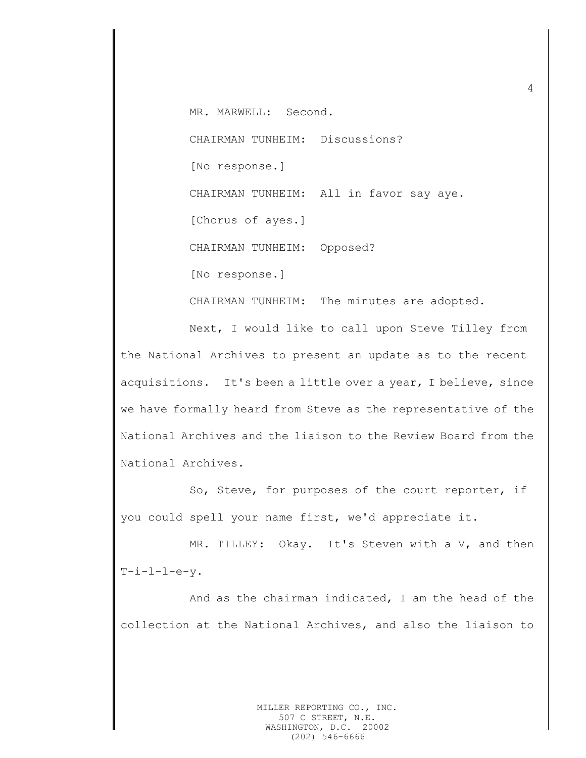MR. MARWELL: Second. CHAIRMAN TUNHEIM: Discussions? [No response.] CHAIRMAN TUNHEIM: All in favor say aye. [Chorus of ayes.] CHAIRMAN TUNHEIM: Opposed? [No response.]

CHAIRMAN TUNHEIM: The minutes are adopted.

Next, I would like to call upon Steve Tilley from the National Archives to present an update as to the recent acquisitions. It's been a little over a year, I believe, since we have formally heard from Steve as the representative of the National Archives and the liaison to the Review Board from the National Archives.

So, Steve, for purposes of the court reporter, if you could spell your name first, we'd appreciate it.

MR. TILLEY: Okay. It's Steven with a V, and then  $T-i-1-1-e-v.$ 

And as the chairman indicated, I am the head of the collection at the National Archives, and also the liaison to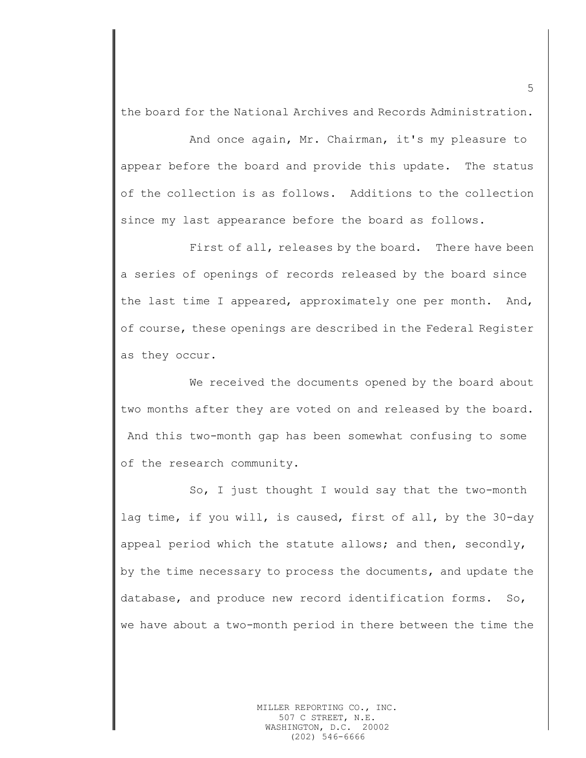the board for the National Archives and Records Administration.

And once again, Mr. Chairman, it's my pleasure to appear before the board and provide this update. The status of the collection is as follows. Additions to the collection since my last appearance before the board as follows.

First of all, releases by the board. There have been a series of openings of records released by the board since the last time I appeared, approximately one per month. And, of course, these openings are described in the Federal Register as they occur.

We received the documents opened by the board about two months after they are voted on and released by the board. And this two-month gap has been somewhat confusing to some of the research community.

So, I just thought I would say that the two-month lag time, if you will, is caused, first of all, by the 30-day appeal period which the statute allows; and then, secondly, by the time necessary to process the documents, and update the database, and produce new record identification forms. So, we have about a two-month period in there between the time the

5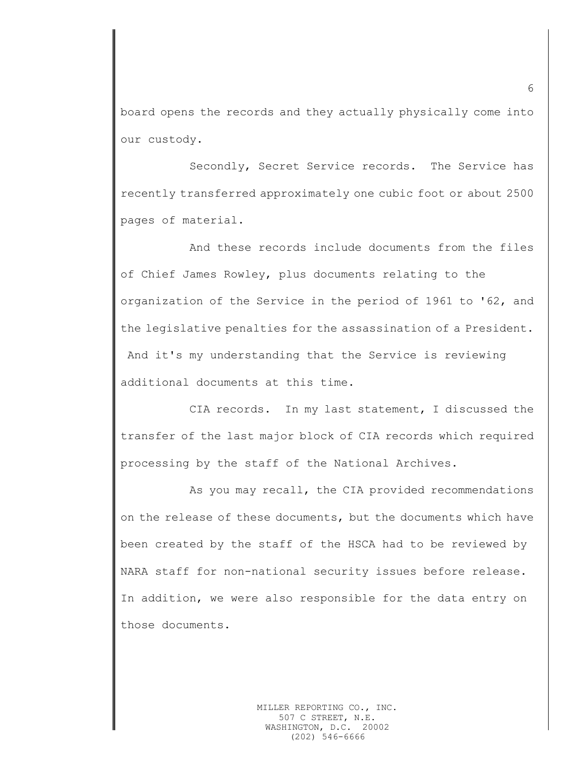board opens the records and they actually physically come into our custody.

Secondly, Secret Service records. The Service has recently transferred approximately one cubic foot or about 2500 pages of material.

And these records include documents from the files of Chief James Rowley, plus documents relating to the organization of the Service in the period of 1961 to '62, and the legislative penalties for the assassination of a President. And it's my understanding that the Service is reviewing additional documents at this time.

CIA records. In my last statement, I discussed the transfer of the last major block of CIA records which required processing by the staff of the National Archives.

As you may recall, the CIA provided recommendations on the release of these documents, but the documents which have been created by the staff of the HSCA had to be reviewed by NARA staff for non-national security issues before release. In addition, we were also responsible for the data entry on those documents.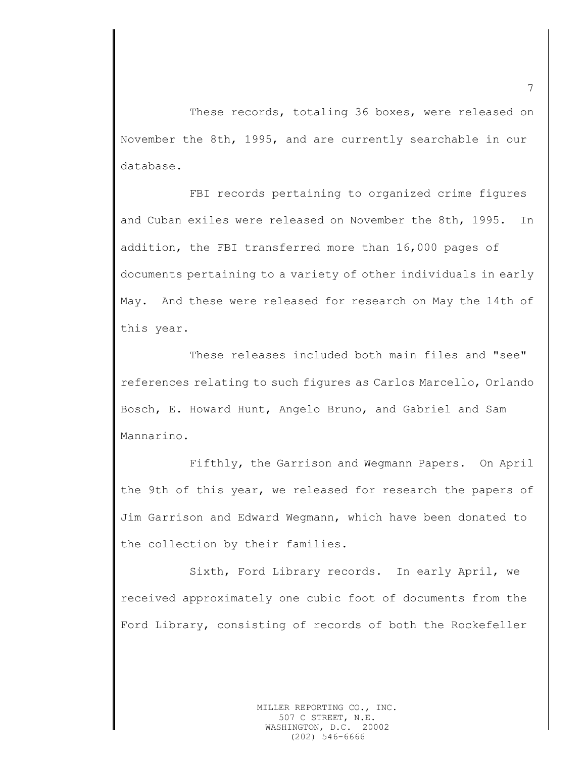These records, totaling 36 boxes, were released on November the 8th, 1995, and are currently searchable in our database.

FBI records pertaining to organized crime figures and Cuban exiles were released on November the 8th, 1995. In addition, the FBI transferred more than 16,000 pages of documents pertaining to a variety of other individuals in early May. And these were released for research on May the 14th of this year.

These releases included both main files and "see" references relating to such figures as Carlos Marcello, Orlando Bosch, E. Howard Hunt, Angelo Bruno, and Gabriel and Sam Mannarino.

Fifthly, the Garrison and Wegmann Papers. On April the 9th of this year, we released for research the papers of Jim Garrison and Edward Wegmann, which have been donated to the collection by their families.

Sixth, Ford Library records. In early April, we received approximately one cubic foot of documents from the Ford Library, consisting of records of both the Rockefeller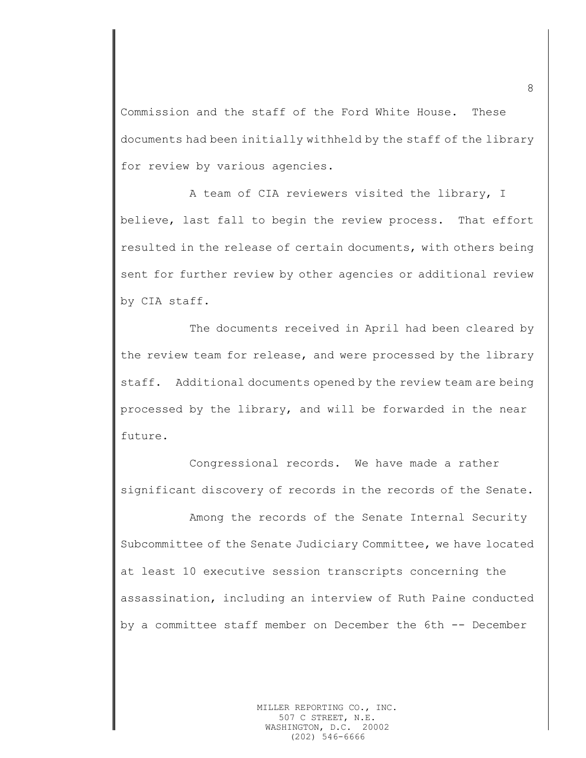Commission and the staff of the Ford White House. These documents had been initially withheld by the staff of the library for review by various agencies.

A team of CIA reviewers visited the library, I believe, last fall to begin the review process. That effort resulted in the release of certain documents, with others being sent for further review by other agencies or additional review by CIA staff.

The documents received in April had been cleared by the review team for release, and were processed by the library staff. Additional documents opened by the review team are being processed by the library, and will be forwarded in the near future.

Congressional records. We have made a rather significant discovery of records in the records of the Senate.

Among the records of the Senate Internal Security Subcommittee of the Senate Judiciary Committee, we have located at least 10 executive session transcripts concerning the assassination, including an interview of Ruth Paine conducted by a committee staff member on December the 6th -- December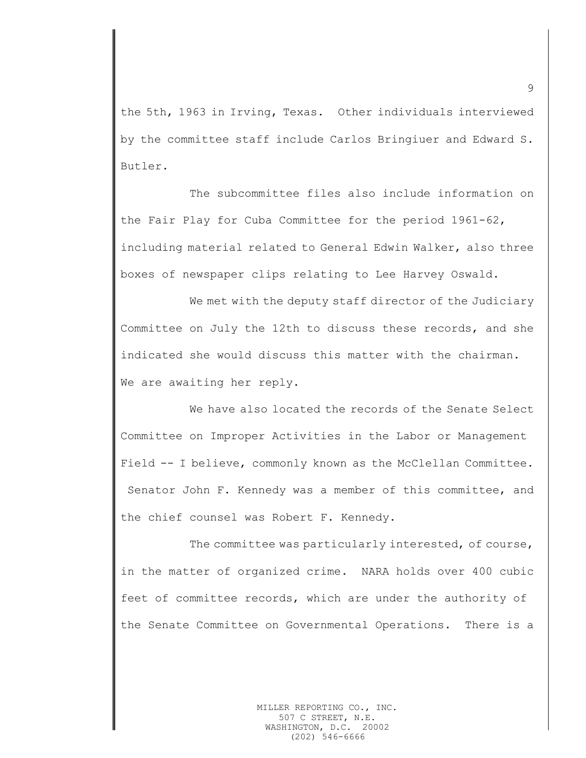the 5th, 1963 in Irving, Texas. Other individuals interviewed by the committee staff include Carlos Bringiuer and Edward S. Butler.

The subcommittee files also include information on the Fair Play for Cuba Committee for the period 1961-62, including material related to General Edwin Walker, also three boxes of newspaper clips relating to Lee Harvey Oswald.

We met with the deputy staff director of the Judiciary Committee on July the 12th to discuss these records, and she indicated she would discuss this matter with the chairman. We are awaiting her reply.

We have also located the records of the Senate Select Committee on Improper Activities in the Labor or Management Field -- I believe, commonly known as the McClellan Committee. Senator John F. Kennedy was a member of this committee, and the chief counsel was Robert F. Kennedy.

The committee was particularly interested, of course, in the matter of organized crime. NARA holds over 400 cubic feet of committee records, which are under the authority of the Senate Committee on Governmental Operations. There is a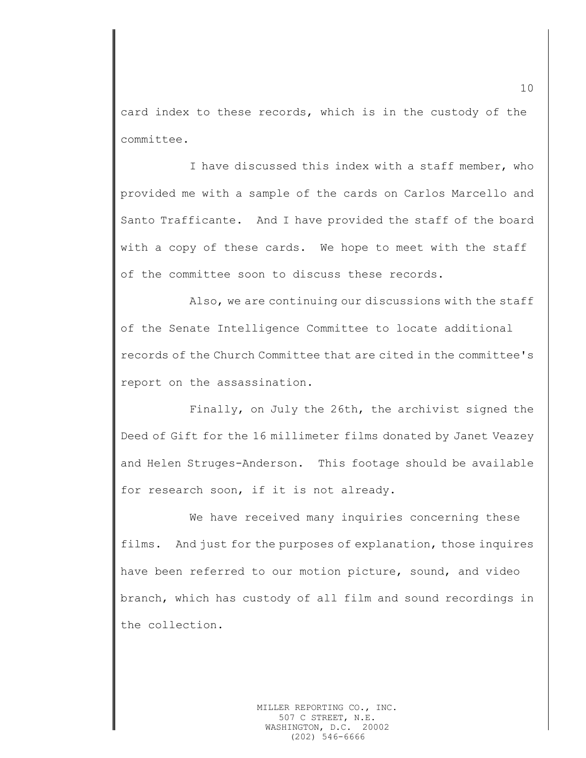card index to these records, which is in the custody of the committee.

I have discussed this index with a staff member, who provided me with a sample of the cards on Carlos Marcello and Santo Trafficante. And I have provided the staff of the board with a copy of these cards. We hope to meet with the staff of the committee soon to discuss these records.

Also, we are continuing our discussions with the staff of the Senate Intelligence Committee to locate additional records of the Church Committee that are cited in the committee's report on the assassination.

Finally, on July the 26th, the archivist signed the Deed of Gift for the 16 millimeter films donated by Janet Veazey and Helen Struges-Anderson. This footage should be available for research soon, if it is not already.

We have received many inquiries concerning these films. And just for the purposes of explanation, those inquires have been referred to our motion picture, sound, and video branch, which has custody of all film and sound recordings in the collection.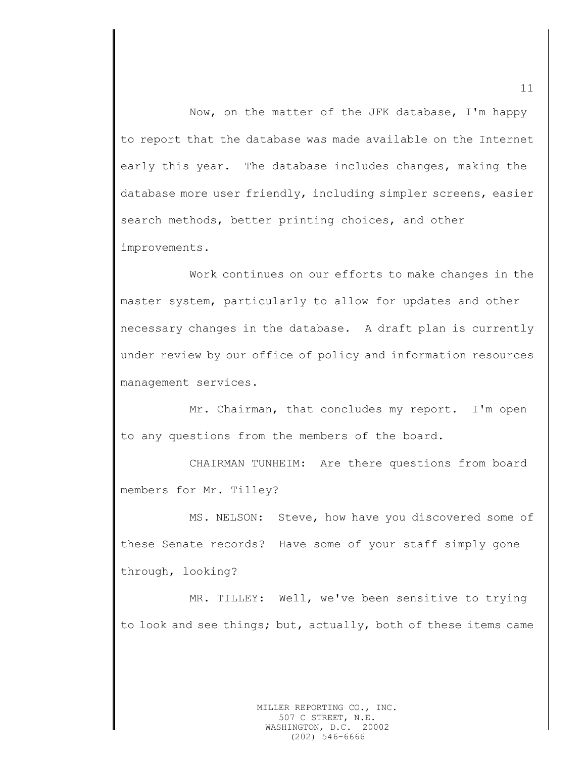Now, on the matter of the JFK database, I'm happy to report that the database was made available on the Internet early this year. The database includes changes, making the database more user friendly, including simpler screens, easier search methods, better printing choices, and other improvements.

Work continues on our efforts to make changes in the master system, particularly to allow for updates and other necessary changes in the database. A draft plan is currently under review by our office of policy and information resources management services.

Mr. Chairman, that concludes my report. I'm open to any questions from the members of the board.

CHAIRMAN TUNHEIM: Are there questions from board members for Mr. Tilley?

MS. NELSON: Steve, how have you discovered some of these Senate records? Have some of your staff simply gone through, looking?

MR. TILLEY: Well, we've been sensitive to trying to look and see things; but, actually, both of these items came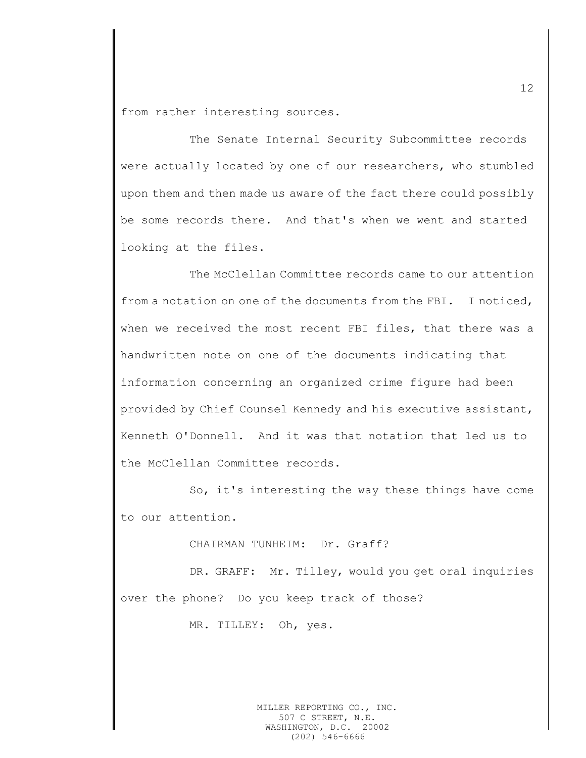from rather interesting sources.

The Senate Internal Security Subcommittee records were actually located by one of our researchers, who stumbled upon them and then made us aware of the fact there could possibly be some records there. And that's when we went and started looking at the files.

The McClellan Committee records came to our attention from a notation on one of the documents from the FBI. I noticed, when we received the most recent FBI files, that there was a handwritten note on one of the documents indicating that information concerning an organized crime figure had been provided by Chief Counsel Kennedy and his executive assistant, Kenneth O'Donnell. And it was that notation that led us to the McClellan Committee records.

So, it's interesting the way these things have come to our attention.

CHAIRMAN TUNHEIM: Dr. Graff?

DR. GRAFF: Mr. Tilley, would you get oral inquiries over the phone? Do you keep track of those?

MR. TILLEY: Oh, yes.

MILLER REPORTING CO., INC. 507 C STREET, N.E. WASHINGTON, D.C. 20002 (202) 546-6666

12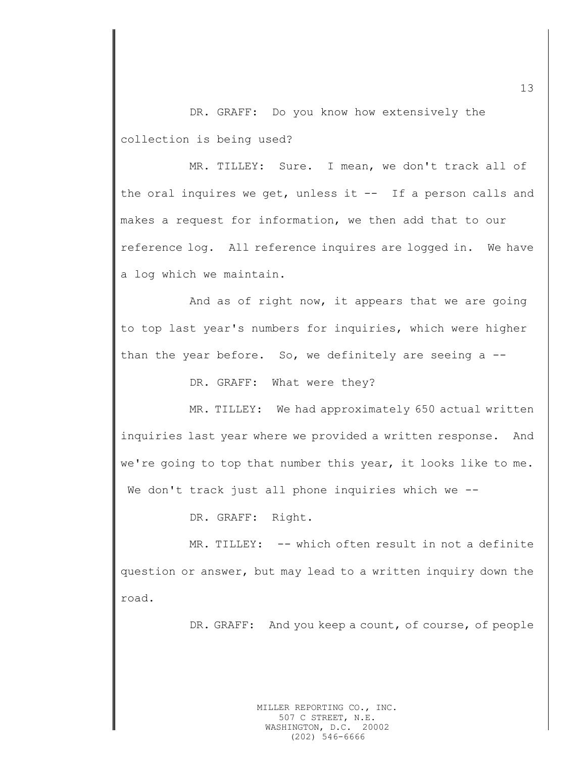DR. GRAFF: Do you know how extensively the collection is being used?

MR. TILLEY: Sure. I mean, we don't track all of the oral inquires we get, unless it -- If a person calls and makes a request for information, we then add that to our reference log. All reference inquires are logged in. We have a log which we maintain.

And as of right now, it appears that we are going to top last year's numbers for inquiries, which were higher than the year before. So, we definitely are seeing a --

DR. GRAFF: What were they?

MR. TILLEY: We had approximately 650 actual written inquiries last year where we provided a written response. And we're going to top that number this year, it looks like to me. We don't track just all phone inquiries which we --

DR. GRAFF: Right.

MR. TILLEY: -- which often result in not a definite question or answer, but may lead to a written inquiry down the road.

DR. GRAFF: And you keep a count, of course, of people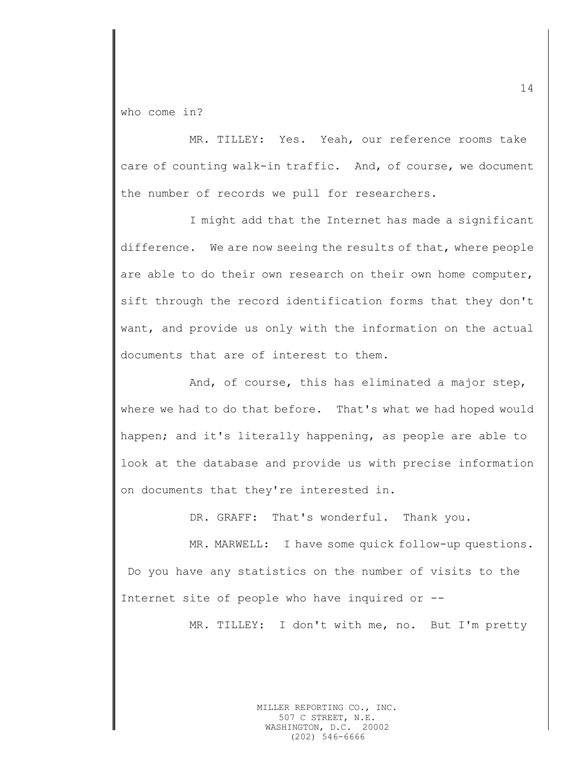who come in?

MR. TILLEY: Yes. Yeah, our reference rooms take care of counting walk-in traffic. And, of course, we document the number of records we pull for researchers.

I might add that the Internet has made a significant difference. We are now seeing the results of that, where people are able to do their own research on their own home computer, sift through the record identification forms that they don't want, and provide us only with the information on the actual documents that are of interest to them.

And, of course, this has eliminated a major step, where we had to do that before. That's what we had hoped would happen; and it's literally happening, as people are able to look at the database and provide us with precise information on documents that they're interested in.

DR. GRAFF: That's wonderful. Thank you.

MR. MARWELL: I have some quick follow-up questions. Do you have any statistics on the number of visits to the Internet site of people who have inquired or --

MR. TILLEY: I don't with me, no. But I'm pretty

MILLER REPORTING CO., INC. 507 C STREET, N.E. WASHINGTON, D.C. 20002 (202) 546-6666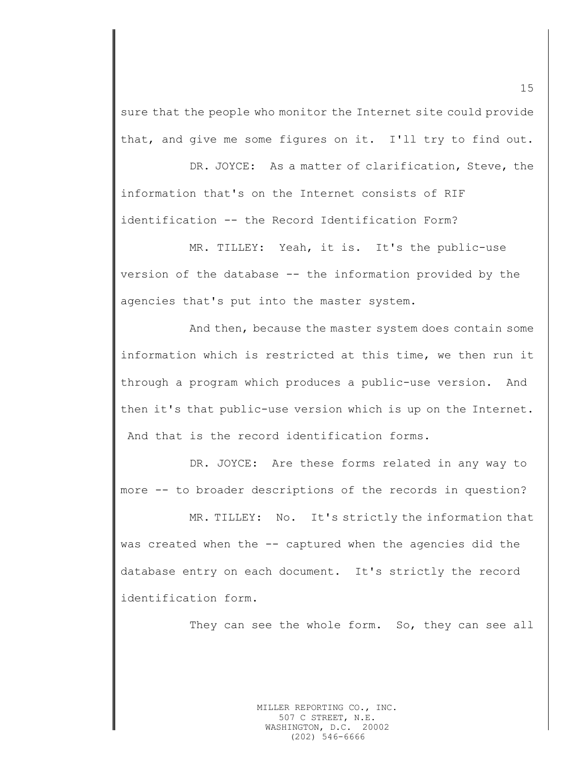sure that the people who monitor the Internet site could provide that, and give me some figures on it. I'll try to find out.

DR. JOYCE: As a matter of clarification, Steve, the information that's on the Internet consists of RIF identification -- the Record Identification Form?

MR. TILLEY: Yeah, it is. It's the public-use version of the database -- the information provided by the agencies that's put into the master system.

And then, because the master system does contain some information which is restricted at this time, we then run it through a program which produces a public-use version. And then it's that public-use version which is up on the Internet. And that is the record identification forms.

DR. JOYCE: Are these forms related in any way to more -- to broader descriptions of the records in question?

MR. TILLEY: No. It's strictly the information that was created when the -- captured when the agencies did the database entry on each document. It's strictly the record identification form.

They can see the whole form. So, they can see all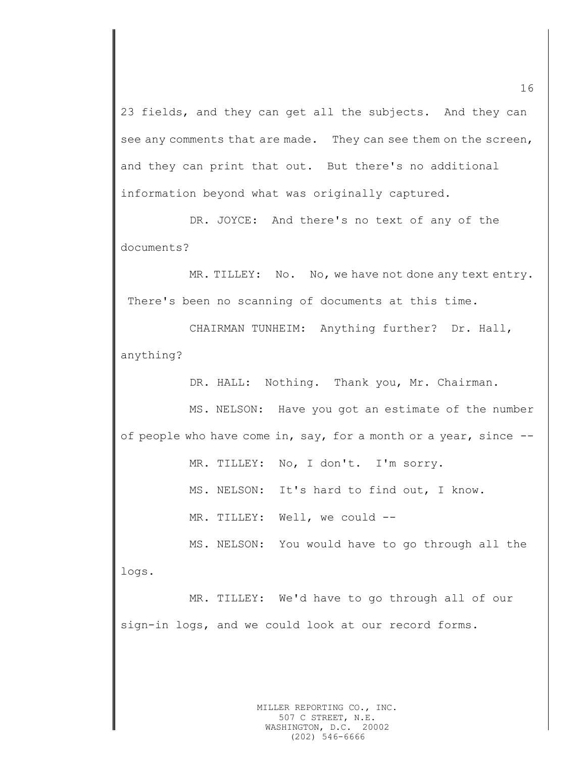23 fields, and they can get all the subjects. And they can see any comments that are made. They can see them on the screen, and they can print that out. But there's no additional information beyond what was originally captured.

DR. JOYCE: And there's no text of any of the documents?

MR. TILLEY: No. No, we have not done any text entry. There's been no scanning of documents at this time.

CHAIRMAN TUNHEIM: Anything further? Dr. Hall, anything?

DR. HALL: Nothing. Thank you, Mr. Chairman.

MS. NELSON: Have you got an estimate of the number of people who have come in, say, for a month or a year, since --

MR. TILLEY: No, I don't. I'm sorry.

MS. NELSON: It's hard to find out, I know.

MR. TILLEY: Well, we could --

MS. NELSON: You would have to go through all the logs.

MR. TILLEY: We'd have to go through all of our sign-in logs, and we could look at our record forms.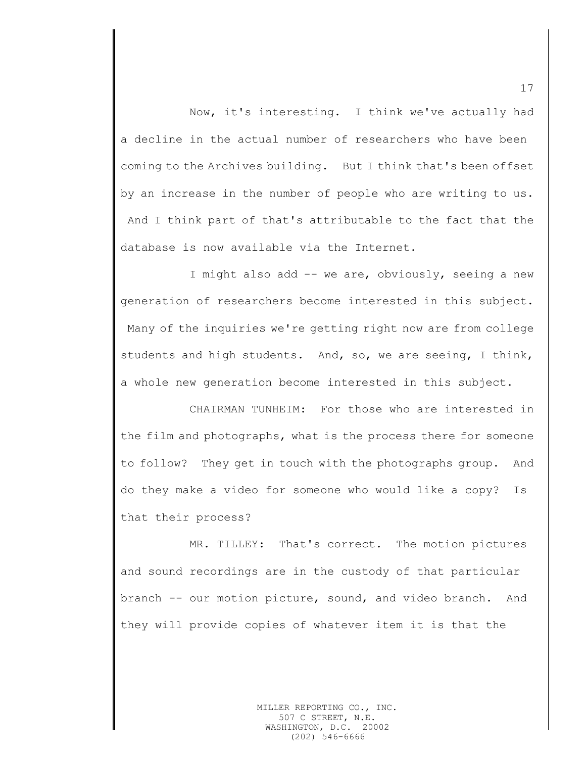Now, it's interesting. I think we've actually had a decline in the actual number of researchers who have been coming to the Archives building. But I think that's been offset by an increase in the number of people who are writing to us. And I think part of that's attributable to the fact that the database is now available via the Internet.

I might also add -- we are, obviously, seeing a new generation of researchers become interested in this subject. Many of the inquiries we're getting right now are from college students and high students. And, so, we are seeing, I think, a whole new generation become interested in this subject.

CHAIRMAN TUNHEIM: For those who are interested in the film and photographs, what is the process there for someone to follow? They get in touch with the photographs group. And do they make a video for someone who would like a copy? Is that their process?

MR. TILLEY: That's correct. The motion pictures and sound recordings are in the custody of that particular branch -- our motion picture, sound, and video branch. And they will provide copies of whatever item it is that the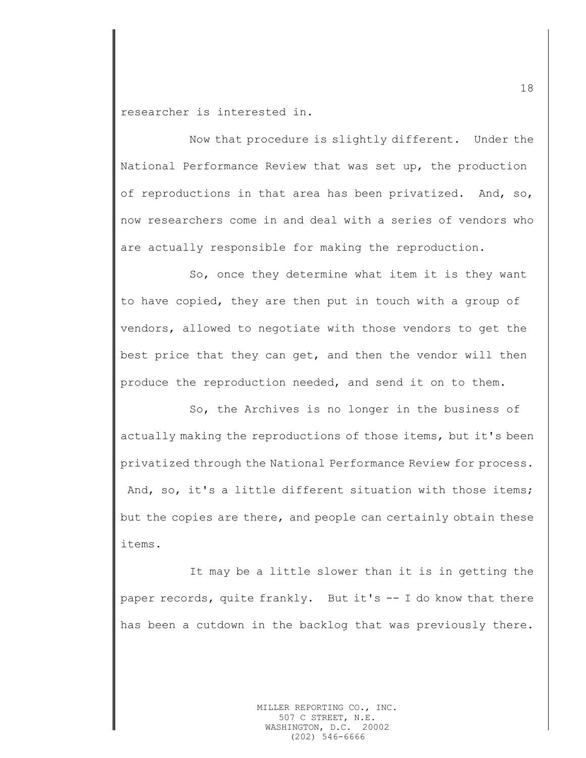researcher is interested in.

Now that procedure is slightly different. Under the National Performance Review that was set up, the production of reproductions in that area has been privatized. And, so, now researchers come in and deal with a series of vendors who are actually responsible for making the reproduction.

So, once they determine what item it is they want to have copied, they are then put in touch with a group of vendors, allowed to negotiate with those vendors to get the best price that they can get, and then the vendor will then produce the reproduction needed, and send it on to them.

So, the Archives is no longer in the business of actually making the reproductions of those items, but it's been privatized through the National Performance Review for process. And, so, it's a little different situation with those items; but the copies are there, and people can certainly obtain these items.

It may be a little slower than it is in getting the paper records, quite frankly. But it's -- I do know that there has been a cutdown in the backlog that was previously there.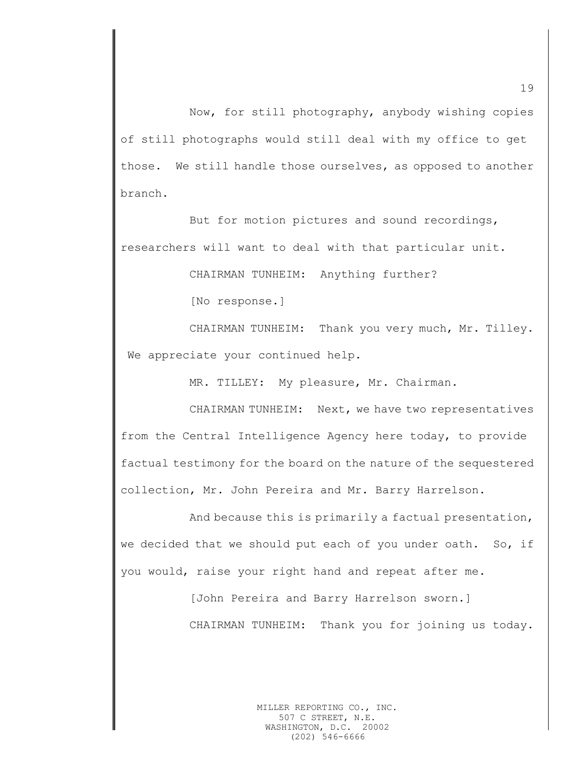Now, for still photography, anybody wishing copies of still photographs would still deal with my office to get those. We still handle those ourselves, as opposed to another branch.

But for motion pictures and sound recordings, researchers will want to deal with that particular unit.

CHAIRMAN TUNHEIM: Anything further?

[No response.]

CHAIRMAN TUNHEIM: Thank you very much, Mr. Tilley. We appreciate your continued help.

MR. TILLEY: My pleasure, Mr. Chairman.

CHAIRMAN TUNHEIM: Next, we have two representatives from the Central Intelligence Agency here today, to provide factual testimony for the board on the nature of the sequestered collection, Mr. John Pereira and Mr. Barry Harrelson.

And because this is primarily a factual presentation, we decided that we should put each of you under oath. So, if you would, raise your right hand and repeat after me.

> [John Pereira and Barry Harrelson sworn.] CHAIRMAN TUNHEIM: Thank you for joining us today.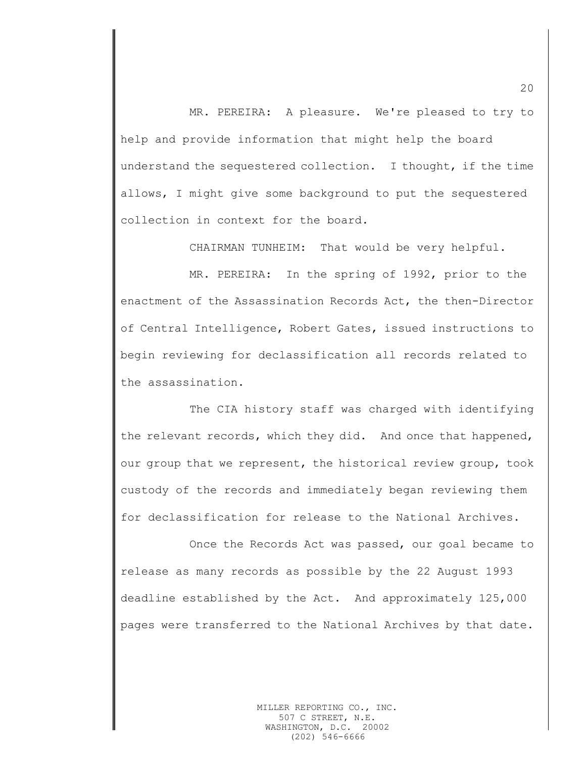MR. PEREIRA: A pleasure. We're pleased to try to help and provide information that might help the board understand the sequestered collection. I thought, if the time allows, I might give some background to put the sequestered collection in context for the board.

CHAIRMAN TUNHEIM: That would be very helpful.

MR. PEREIRA: In the spring of 1992, prior to the enactment of the Assassination Records Act, the then-Director of Central Intelligence, Robert Gates, issued instructions to begin reviewing for declassification all records related to the assassination.

The CIA history staff was charged with identifying the relevant records, which they did. And once that happened, our group that we represent, the historical review group, took custody of the records and immediately began reviewing them for declassification for release to the National Archives.

Once the Records Act was passed, our goal became to release as many records as possible by the 22 August 1993 deadline established by the Act. And approximately 125,000 pages were transferred to the National Archives by that date.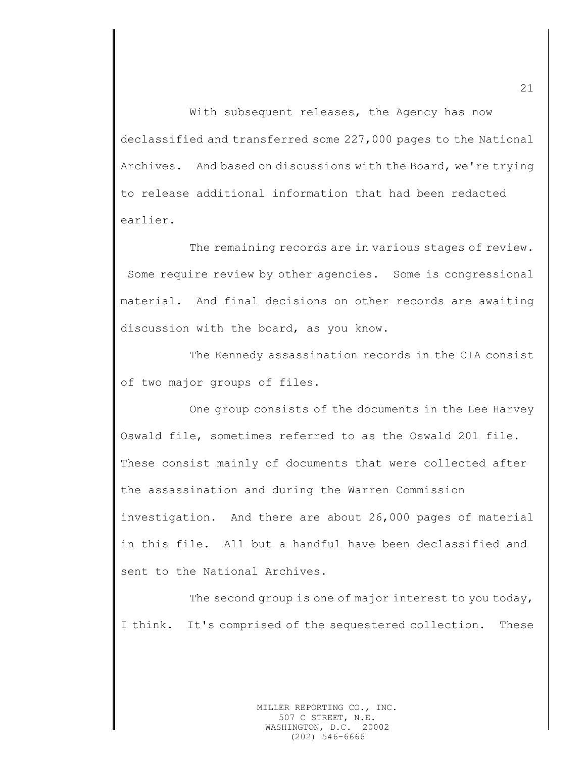With subsequent releases, the Agency has now declassified and transferred some 227,000 pages to the National Archives. And based on discussions with the Board, we're trying to release additional information that had been redacted earlier.

The remaining records are in various stages of review. Some require review by other agencies. Some is congressional material. And final decisions on other records are awaiting discussion with the board, as you know.

The Kennedy assassination records in the CIA consist of two major groups of files.

One group consists of the documents in the Lee Harvey Oswald file, sometimes referred to as the Oswald 201 file. These consist mainly of documents that were collected after the assassination and during the Warren Commission investigation. And there are about 26,000 pages of material in this file. All but a handful have been declassified and sent to the National Archives.

The second group is one of major interest to you today, I think. It's comprised of the sequestered collection. These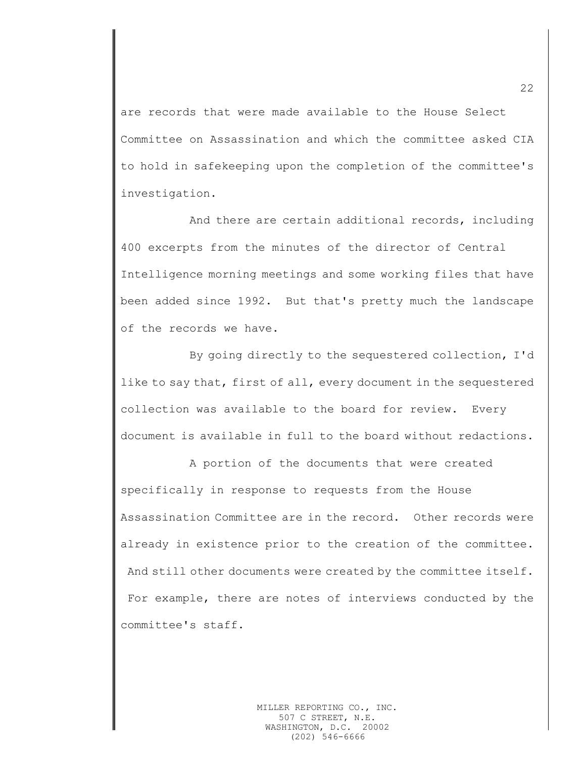are records that were made available to the House Select Committee on Assassination and which the committee asked CIA to hold in safekeeping upon the completion of the committee's investigation.

And there are certain additional records, including 400 excerpts from the minutes of the director of Central Intelligence morning meetings and some working files that have been added since 1992. But that's pretty much the landscape of the records we have.

By going directly to the sequestered collection, I'd like to say that, first of all, every document in the sequestered collection was available to the board for review. Every document is available in full to the board without redactions.

A portion of the documents that were created specifically in response to requests from the House Assassination Committee are in the record. Other records were already in existence prior to the creation of the committee. And still other documents were created by the committee itself. For example, there are notes of interviews conducted by the committee's staff.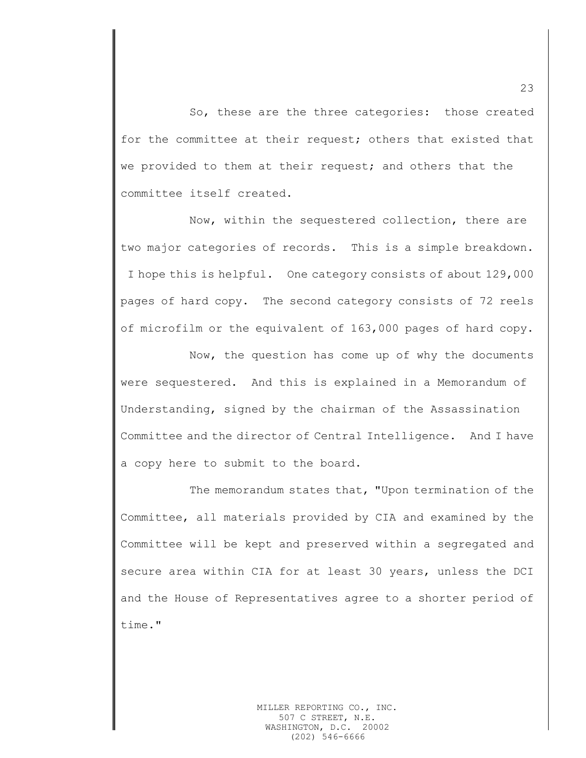So, these are the three categories: those created for the committee at their request; others that existed that we provided to them at their request; and others that the committee itself created.

Now, within the sequestered collection, there are two major categories of records. This is a simple breakdown. I hope this is helpful. One category consists of about 129,000 pages of hard copy. The second category consists of 72 reels of microfilm or the equivalent of 163,000 pages of hard copy.

Now, the question has come up of why the documents were sequestered. And this is explained in a Memorandum of Understanding, signed by the chairman of the Assassination Committee and the director of Central Intelligence. And I have a copy here to submit to the board.

The memorandum states that, "Upon termination of the Committee, all materials provided by CIA and examined by the Committee will be kept and preserved within a segregated and secure area within CIA for at least 30 years, unless the DCI and the House of Representatives agree to a shorter period of time."

23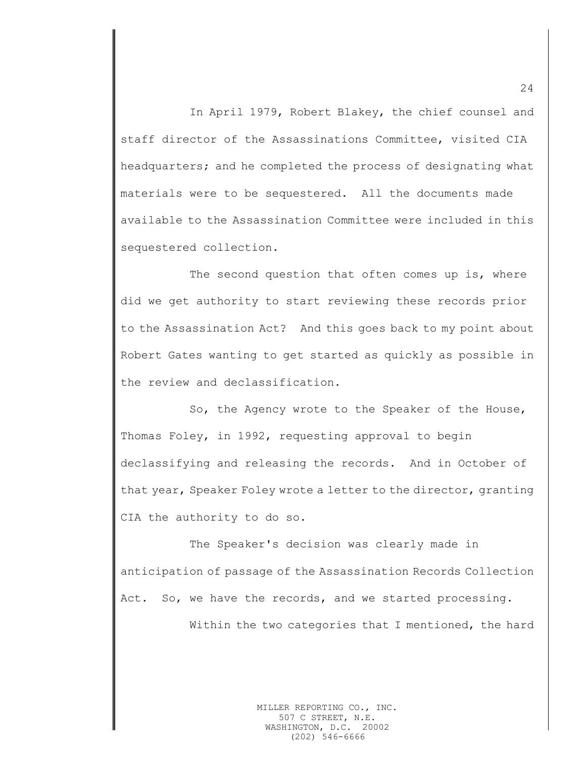In April 1979, Robert Blakey, the chief counsel and staff director of the Assassinations Committee, visited CIA headquarters; and he completed the process of designating what materials were to be sequestered. All the documents made available to the Assassination Committee were included in this sequestered collection.

The second question that often comes up is, where did we get authority to start reviewing these records prior to the Assassination Act? And this goes back to my point about Robert Gates wanting to get started as quickly as possible in the review and declassification.

So, the Agency wrote to the Speaker of the House, Thomas Foley, in 1992, requesting approval to begin declassifying and releasing the records. And in October of that year, Speaker Foley wrote a letter to the director, granting CIA the authority to do so.

The Speaker's decision was clearly made in anticipation of passage of the Assassination Records Collection Act. So, we have the records, and we started processing.

Within the two categories that I mentioned, the hard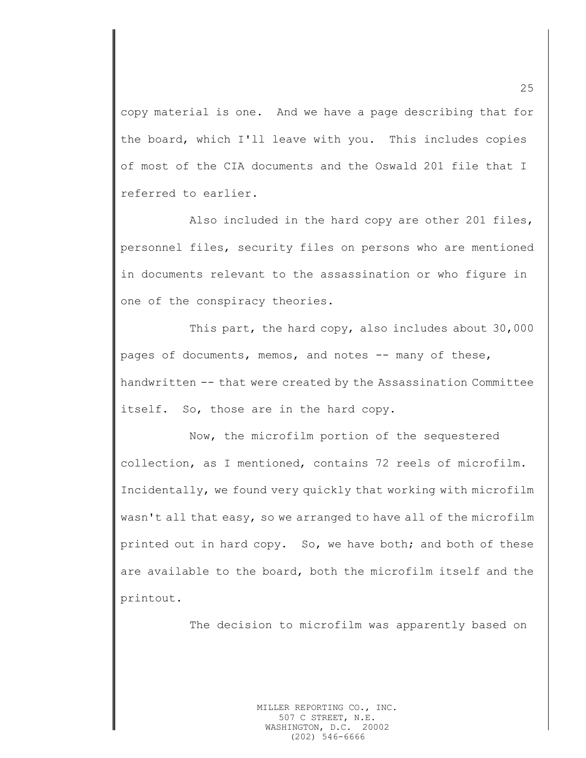copy material is one. And we have a page describing that for the board, which I'll leave with you. This includes copies of most of the CIA documents and the Oswald 201 file that I referred to earlier.

Also included in the hard copy are other 201 files, personnel files, security files on persons who are mentioned in documents relevant to the assassination or who figure in one of the conspiracy theories.

This part, the hard copy, also includes about 30,000 pages of documents, memos, and notes -- many of these, handwritten -- that were created by the Assassination Committee itself. So, those are in the hard copy.

Now, the microfilm portion of the sequestered collection, as I mentioned, contains 72 reels of microfilm. Incidentally, we found very quickly that working with microfilm wasn't all that easy, so we arranged to have all of the microfilm printed out in hard copy. So, we have both; and both of these are available to the board, both the microfilm itself and the printout.

The decision to microfilm was apparently based on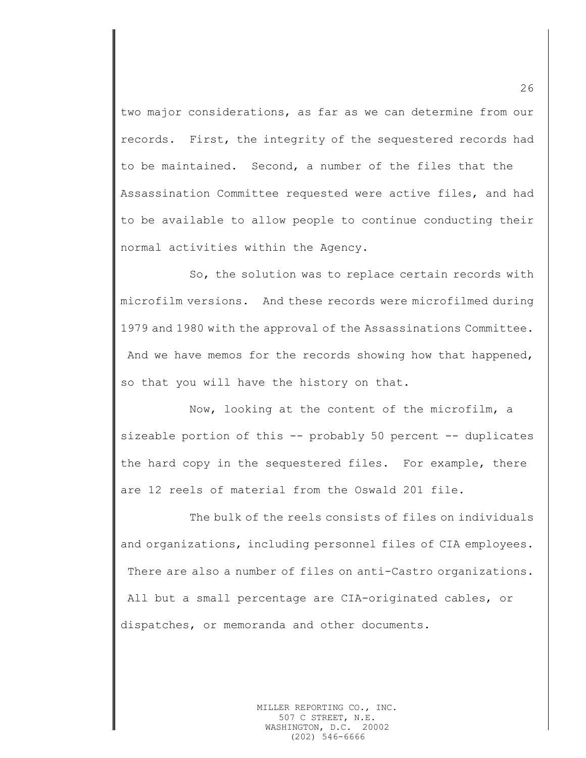two major considerations, as far as we can determine from our records. First, the integrity of the sequestered records had to be maintained. Second, a number of the files that the Assassination Committee requested were active files, and had to be available to allow people to continue conducting their normal activities within the Agency.

So, the solution was to replace certain records with microfilm versions. And these records were microfilmed during 1979 and 1980 with the approval of the Assassinations Committee. And we have memos for the records showing how that happened, so that you will have the history on that.

Now, looking at the content of the microfilm, a sizeable portion of this -- probably 50 percent -- duplicates the hard copy in the sequestered files. For example, there are 12 reels of material from the Oswald 201 file.

The bulk of the reels consists of files on individuals and organizations, including personnel files of CIA employees. There are also a number of files on anti-Castro organizations. All but a small percentage are CIA-originated cables, or dispatches, or memoranda and other documents.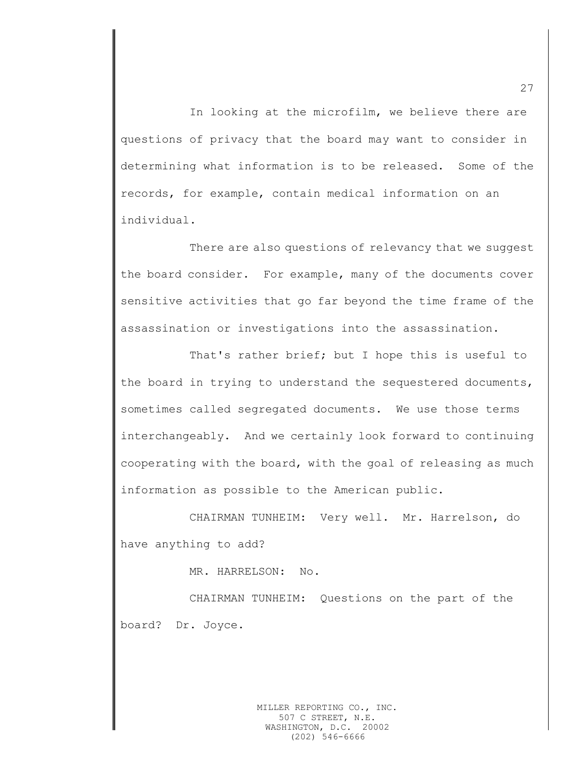In looking at the microfilm, we believe there are questions of privacy that the board may want to consider in determining what information is to be released. Some of the records, for example, contain medical information on an individual.

There are also questions of relevancy that we suggest the board consider. For example, many of the documents cover sensitive activities that go far beyond the time frame of the assassination or investigations into the assassination.

That's rather brief; but I hope this is useful to the board in trying to understand the sequestered documents, sometimes called segregated documents. We use those terms interchangeably. And we certainly look forward to continuing cooperating with the board, with the goal of releasing as much information as possible to the American public.

CHAIRMAN TUNHEIM: Very well. Mr. Harrelson, do have anything to add?

MR. HARRELSON: No.

CHAIRMAN TUNHEIM: Questions on the part of the board? Dr. Joyce.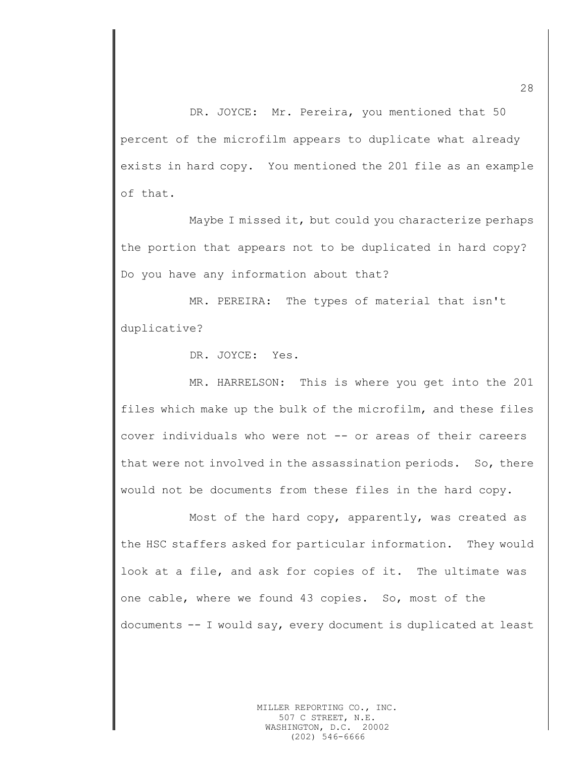DR. JOYCE: Mr. Pereira, you mentioned that 50 percent of the microfilm appears to duplicate what already exists in hard copy. You mentioned the 201 file as an example of that.

Maybe I missed it, but could you characterize perhaps the portion that appears not to be duplicated in hard copy? Do you have any information about that?

MR. PEREIRA: The types of material that isn't duplicative?

DR. JOYCE: Yes.

MR. HARRELSON: This is where you get into the 201 files which make up the bulk of the microfilm, and these files cover individuals who were not -- or areas of their careers that were not involved in the assassination periods. So, there would not be documents from these files in the hard copy.

Most of the hard copy, apparently, was created as the HSC staffers asked for particular information. They would look at a file, and ask for copies of it. The ultimate was one cable, where we found 43 copies. So, most of the documents -- I would say, every document is duplicated at least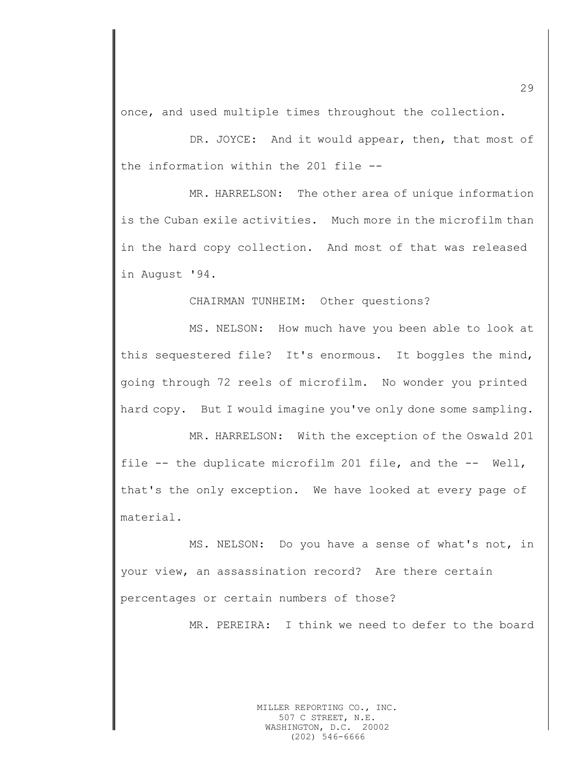once, and used multiple times throughout the collection.

DR. JOYCE: And it would appear, then, that most of the information within the 201 file --

MR. HARRELSON: The other area of unique information is the Cuban exile activities. Much more in the microfilm than in the hard copy collection. And most of that was released in August '94.

CHAIRMAN TUNHEIM: Other questions?

MS. NELSON: How much have you been able to look at this sequestered file? It's enormous. It boggles the mind, going through 72 reels of microfilm. No wonder you printed hard copy. But I would imagine you've only done some sampling.

MR. HARRELSON: With the exception of the Oswald 201 file -- the duplicate microfilm 201 file, and the -- Well, that's the only exception. We have looked at every page of material.

MS. NELSON: Do you have a sense of what's not, in your view, an assassination record? Are there certain percentages or certain numbers of those?

MR. PEREIRA: I think we need to defer to the board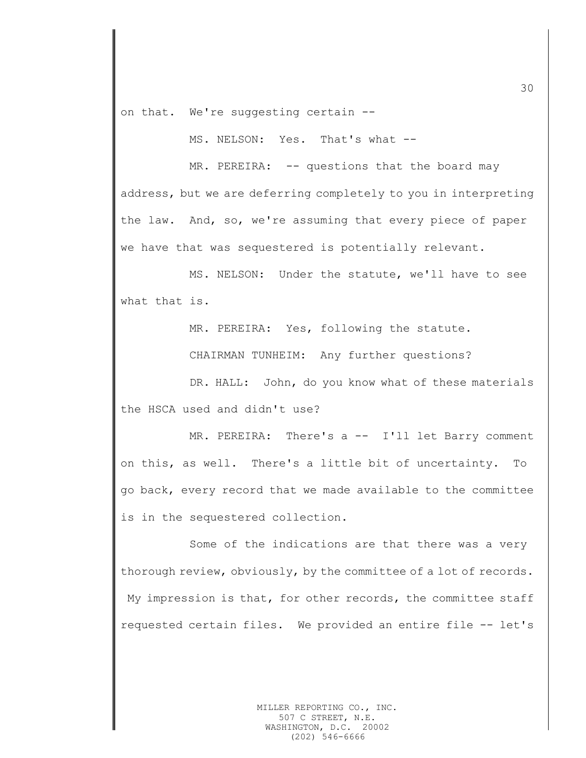on that. We're suggesting certain --

MS. NELSON: Yes. That's what --

MR. PEREIRA: -- questions that the board may address, but we are deferring completely to you in interpreting the law. And, so, we're assuming that every piece of paper we have that was sequestered is potentially relevant.

MS. NELSON: Under the statute, we'll have to see what that is.

MR. PEREIRA: Yes, following the statute.

CHAIRMAN TUNHEIM: Any further questions?

DR. HALL: John, do you know what of these materials the HSCA used and didn't use?

MR. PEREIRA: There's a -- I'll let Barry comment on this, as well. There's a little bit of uncertainty. To go back, every record that we made available to the committee is in the sequestered collection.

Some of the indications are that there was a very thorough review, obviously, by the committee of a lot of records. My impression is that, for other records, the committee staff requested certain files. We provided an entire file -- let's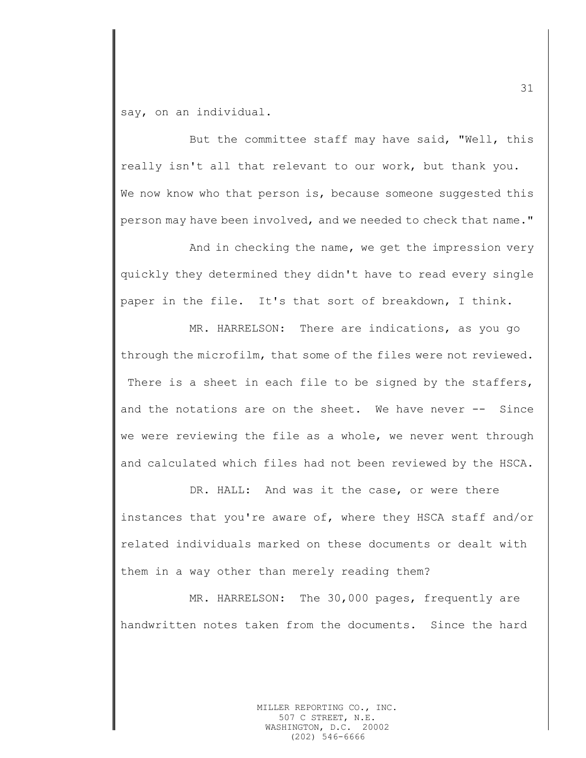say, on an individual.

But the committee staff may have said, "Well, this really isn't all that relevant to our work, but thank you. We now know who that person is, because someone suggested this person may have been involved, and we needed to check that name."

And in checking the name, we get the impression very quickly they determined they didn't have to read every single paper in the file. It's that sort of breakdown, I think.

MR. HARRELSON: There are indications, as you go through the microfilm, that some of the files were not reviewed. There is a sheet in each file to be signed by the staffers, and the notations are on the sheet. We have never -- Since we were reviewing the file as a whole, we never went through and calculated which files had not been reviewed by the HSCA.

DR. HALL: And was it the case, or were there instances that you're aware of, where they HSCA staff and/or related individuals marked on these documents or dealt with them in a way other than merely reading them?

MR. HARRELSON: The 30,000 pages, frequently are handwritten notes taken from the documents. Since the hard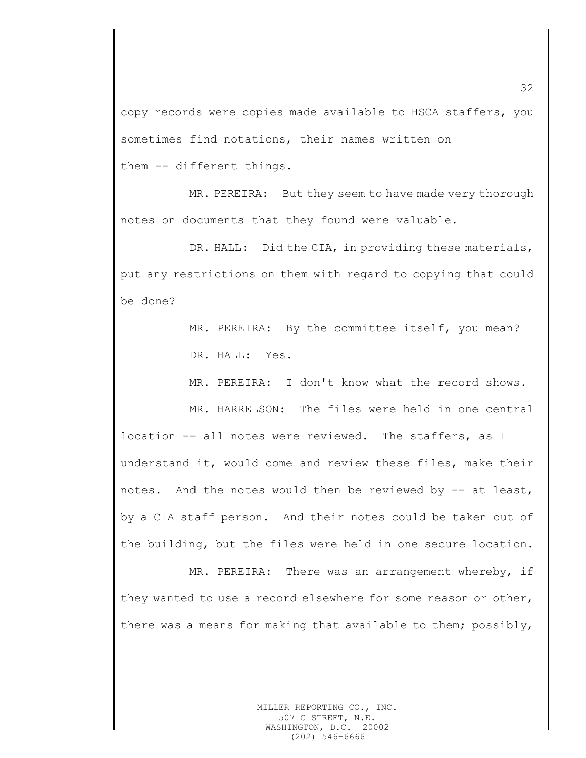copy records were copies made available to HSCA staffers, you sometimes find notations, their names written on them -- different things.

MR. PEREIRA: But they seem to have made very thorough notes on documents that they found were valuable.

DR. HALL: Did the CIA, in providing these materials, put any restrictions on them with regard to copying that could be done?

> MR. PEREIRA: By the committee itself, you mean? DR. HALL: Yes.

MR. PEREIRA: I don't know what the record shows.

MR. HARRELSON: The files were held in one central location -- all notes were reviewed. The staffers, as I understand it, would come and review these files, make their notes. And the notes would then be reviewed by -- at least, by a CIA staff person. And their notes could be taken out of the building, but the files were held in one secure location.

MR. PEREIRA: There was an arrangement whereby, if they wanted to use a record elsewhere for some reason or other, there was a means for making that available to them; possibly,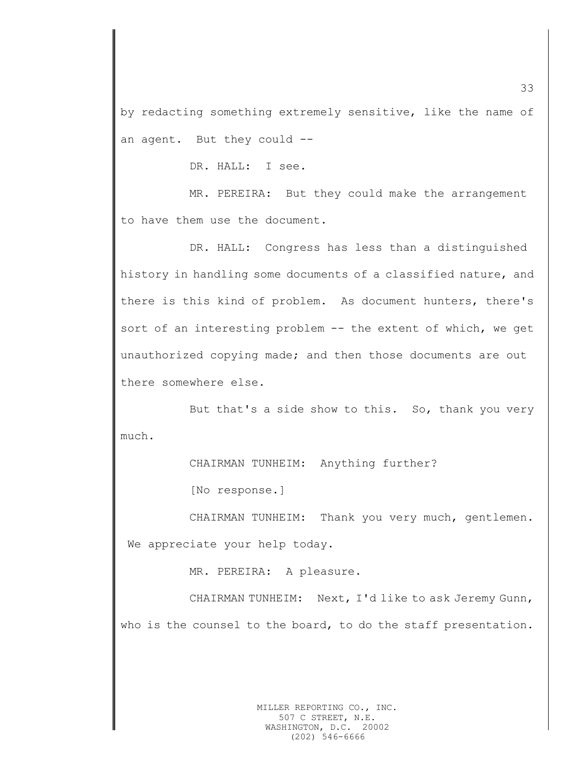by redacting something extremely sensitive, like the name of an agent. But they could --

DR. HALL: I see.

MR. PEREIRA: But they could make the arrangement to have them use the document.

DR. HALL: Congress has less than a distinguished history in handling some documents of a classified nature, and there is this kind of problem. As document hunters, there's sort of an interesting problem -- the extent of which, we get unauthorized copying made; and then those documents are out there somewhere else.

But that's a side show to this. So, thank you very much.

CHAIRMAN TUNHEIM: Anything further?

[No response.]

CHAIRMAN TUNHEIM: Thank you very much, gentlemen. We appreciate your help today.

MR. PEREIRA: A pleasure.

CHAIRMAN TUNHEIM: Next, I'd like to ask Jeremy Gunn, who is the counsel to the board, to do the staff presentation.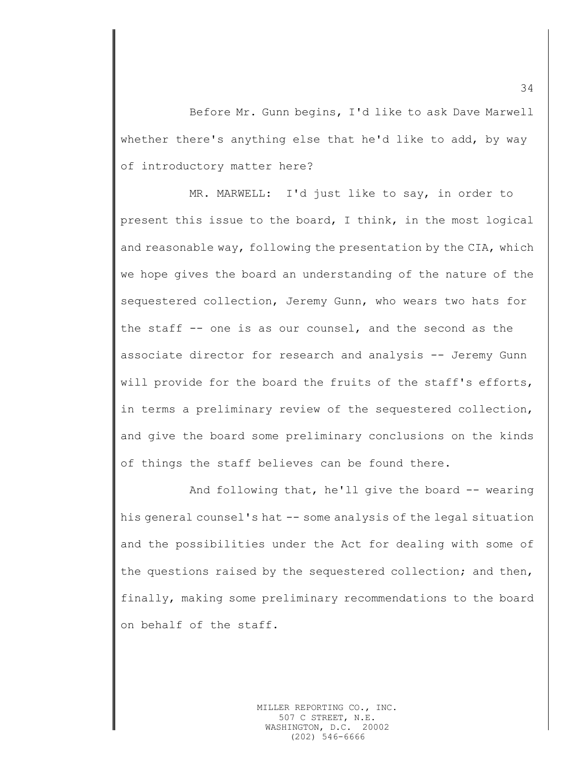Before Mr. Gunn begins, I'd like to ask Dave Marwell whether there's anything else that he'd like to add, by way of introductory matter here?

MR. MARWELL: I'd just like to say, in order to present this issue to the board, I think, in the most logical and reasonable way, following the presentation by the CIA, which we hope gives the board an understanding of the nature of the sequestered collection, Jeremy Gunn, who wears two hats for the staff -- one is as our counsel, and the second as the associate director for research and analysis -- Jeremy Gunn will provide for the board the fruits of the staff's efforts, in terms a preliminary review of the sequestered collection, and give the board some preliminary conclusions on the kinds of things the staff believes can be found there.

And following that, he'll give the board -- wearing his general counsel's hat  $-$ - some analysis of the legal situation and the possibilities under the Act for dealing with some of the questions raised by the sequestered collection; and then, finally, making some preliminary recommendations to the board on behalf of the staff.

34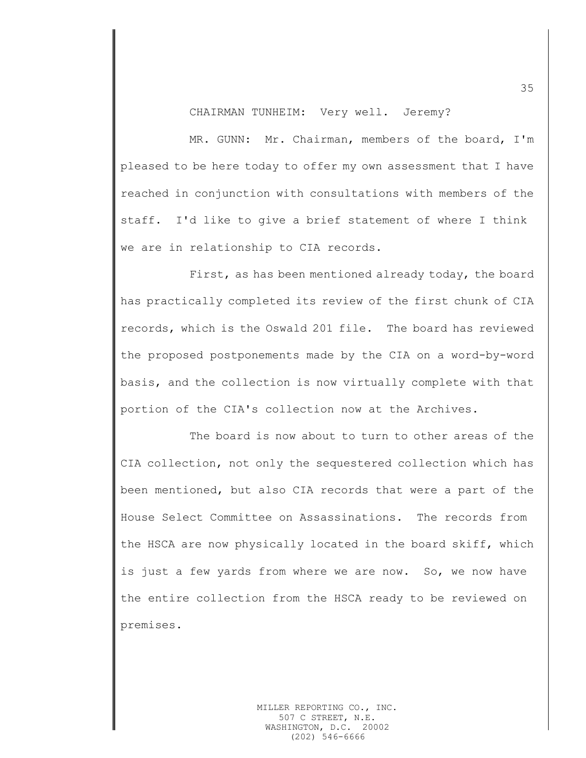CHAIRMAN TUNHEIM: Very well. Jeremy?

MR. GUNN: Mr. Chairman, members of the board, I'm pleased to be here today to offer my own assessment that I have reached in conjunction with consultations with members of the staff. I'd like to give a brief statement of where I think we are in relationship to CIA records.

First, as has been mentioned already today, the board has practically completed its review of the first chunk of CIA records, which is the Oswald 201 file. The board has reviewed the proposed postponements made by the CIA on a word-by-word basis, and the collection is now virtually complete with that portion of the CIA's collection now at the Archives.

The board is now about to turn to other areas of the CIA collection, not only the sequestered collection which has been mentioned, but also CIA records that were a part of the House Select Committee on Assassinations. The records from the HSCA are now physically located in the board skiff, which is just a few yards from where we are now. So, we now have the entire collection from the HSCA ready to be reviewed on premises.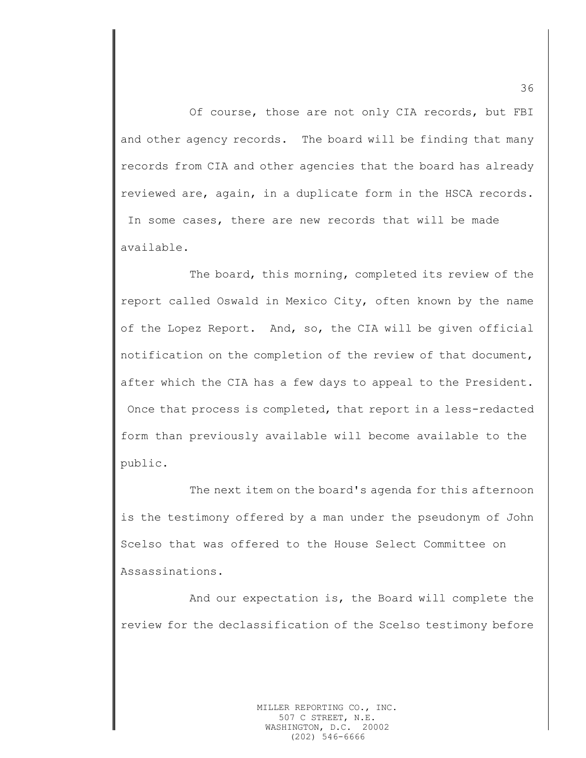Of course, those are not only CIA records, but FBI and other agency records. The board will be finding that many records from CIA and other agencies that the board has already reviewed are, again, in a duplicate form in the HSCA records. In some cases, there are new records that will be made available.

The board, this morning, completed its review of the report called Oswald in Mexico City, often known by the name of the Lopez Report. And, so, the CIA will be given official notification on the completion of the review of that document, after which the CIA has a few days to appeal to the President. Once that process is completed, that report in a less-redacted form than previously available will become available to the public.

The next item on the board's agenda for this afternoon is the testimony offered by a man under the pseudonym of John Scelso that was offered to the House Select Committee on Assassinations.

And our expectation is, the Board will complete the review for the declassification of the Scelso testimony before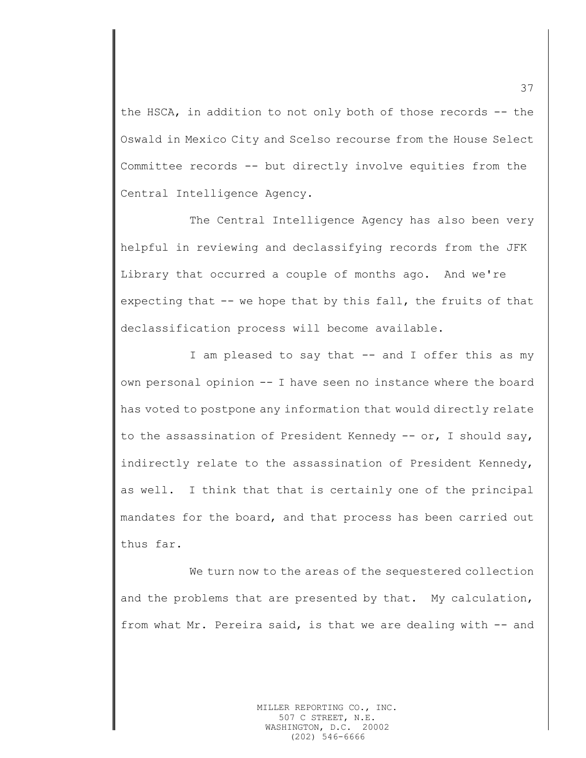the HSCA, in addition to not only both of those records -- the Oswald in Mexico City and Scelso recourse from the House Select Committee records -- but directly involve equities from the Central Intelligence Agency.

The Central Intelligence Agency has also been very helpful in reviewing and declassifying records from the JFK Library that occurred a couple of months ago. And we're expecting that -- we hope that by this fall, the fruits of that declassification process will become available.

I am pleased to say that -- and I offer this as my own personal opinion -- I have seen no instance where the board has voted to postpone any information that would directly relate to the assassination of President Kennedy -- or, I should say, indirectly relate to the assassination of President Kennedy, as well. I think that that is certainly one of the principal mandates for the board, and that process has been carried out thus far.

We turn now to the areas of the sequestered collection and the problems that are presented by that. My calculation, from what Mr. Pereira said, is that we are dealing with -- and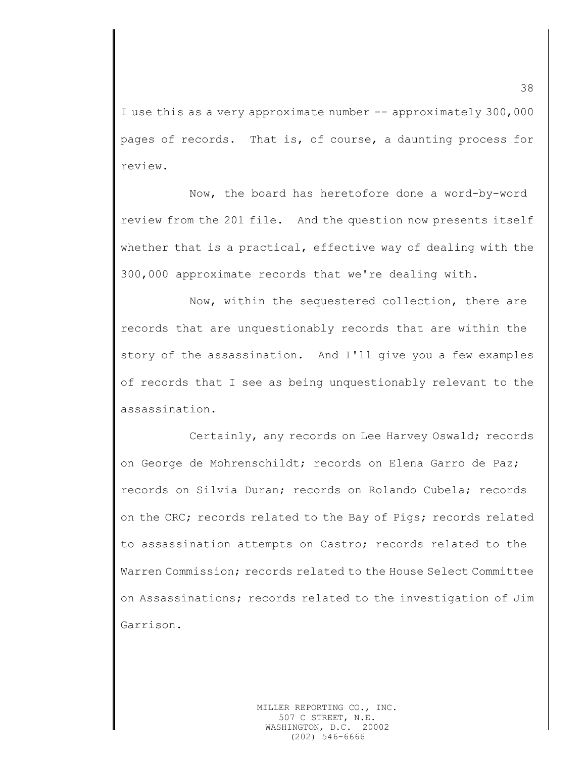I use this as a very approximate number -- approximately 300,000 pages of records. That is, of course, a daunting process for review.

Now, the board has heretofore done a word-by-word review from the 201 file. And the question now presents itself whether that is a practical, effective way of dealing with the 300,000 approximate records that we're dealing with.

Now, within the sequestered collection, there are records that are unquestionably records that are within the story of the assassination. And I'll give you a few examples of records that I see as being unquestionably relevant to the assassination.

Certainly, any records on Lee Harvey Oswald; records on George de Mohrenschildt; records on Elena Garro de Paz; records on Silvia Duran; records on Rolando Cubela; records on the CRC; records related to the Bay of Pigs; records related to assassination attempts on Castro; records related to the Warren Commission; records related to the House Select Committee on Assassinations; records related to the investigation of Jim Garrison.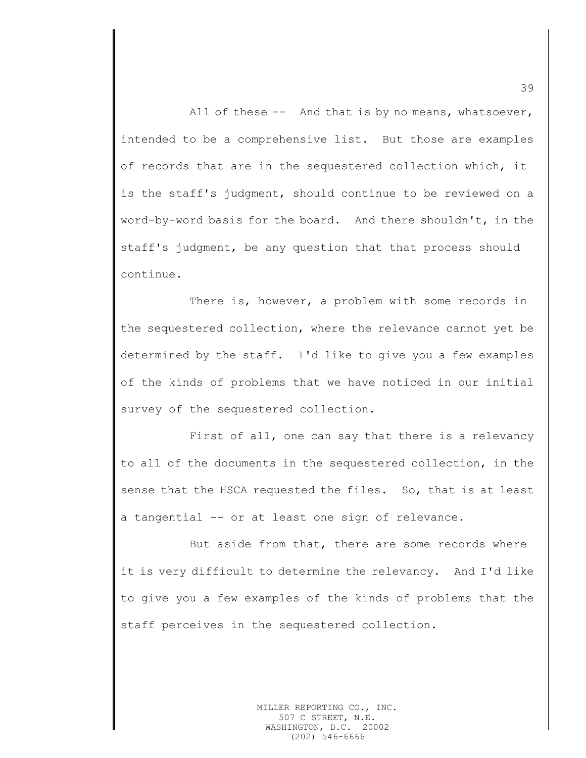All of these -- And that is by no means, whatsoever, intended to be a comprehensive list. But those are examples of records that are in the sequestered collection which, it is the staff's judgment, should continue to be reviewed on a word-by-word basis for the board. And there shouldn't, in the staff's judgment, be any question that that process should continue.

There is, however, a problem with some records in the sequestered collection, where the relevance cannot yet be determined by the staff. I'd like to give you a few examples of the kinds of problems that we have noticed in our initial survey of the sequestered collection.

First of all, one can say that there is a relevancy to all of the documents in the sequestered collection, in the sense that the HSCA requested the files. So, that is at least a tangential -- or at least one sign of relevance.

But aside from that, there are some records where it is very difficult to determine the relevancy. And I'd like to give you a few examples of the kinds of problems that the staff perceives in the sequestered collection.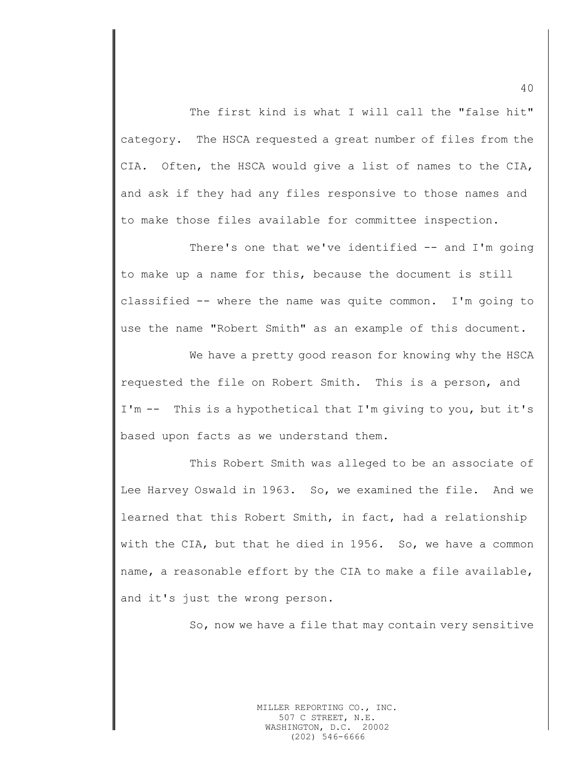The first kind is what I will call the "false hit" category. The HSCA requested a great number of files from the CIA. Often, the HSCA would give a list of names to the CIA, and ask if they had any files responsive to those names and to make those files available for committee inspection.

There's one that we've identified -- and I'm going to make up a name for this, because the document is still classified -- where the name was quite common. I'm going to use the name "Robert Smith" as an example of this document.

We have a pretty good reason for knowing why the HSCA requested the file on Robert Smith. This is a person, and I'm -- This is a hypothetical that I'm giving to you, but it's based upon facts as we understand them.

This Robert Smith was alleged to be an associate of Lee Harvey Oswald in 1963. So, we examined the file. And we learned that this Robert Smith, in fact, had a relationship with the CIA, but that he died in 1956. So, we have a common name, a reasonable effort by the CIA to make a file available, and it's just the wrong person.

So, now we have a file that may contain very sensitive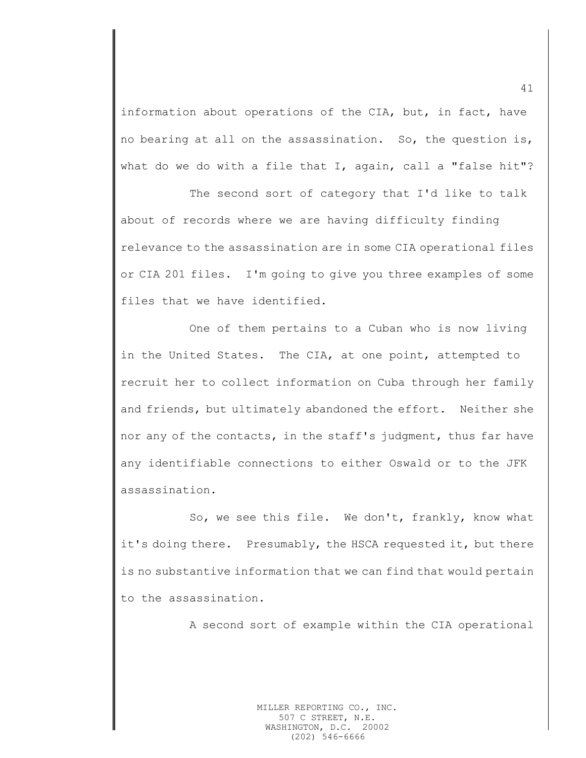information about operations of the CIA, but, in fact, have no bearing at all on the assassination. So, the question is, what do we do with a file that I, again, call a "false hit"?

The second sort of category that I'd like to talk about of records where we are having difficulty finding relevance to the assassination are in some CIA operational files or CIA 201 files. I'm going to give you three examples of some files that we have identified.

One of them pertains to a Cuban who is now living in the United States. The CIA, at one point, attempted to recruit her to collect information on Cuba through her family and friends, but ultimately abandoned the effort. Neither she nor any of the contacts, in the staff's judgment, thus far have any identifiable connections to either Oswald or to the JFK assassination.

So, we see this file. We don't, frankly, know what it's doing there. Presumably, the HSCA requested it, but there is no substantive information that we can find that would pertain to the assassination.

A second sort of example within the CIA operational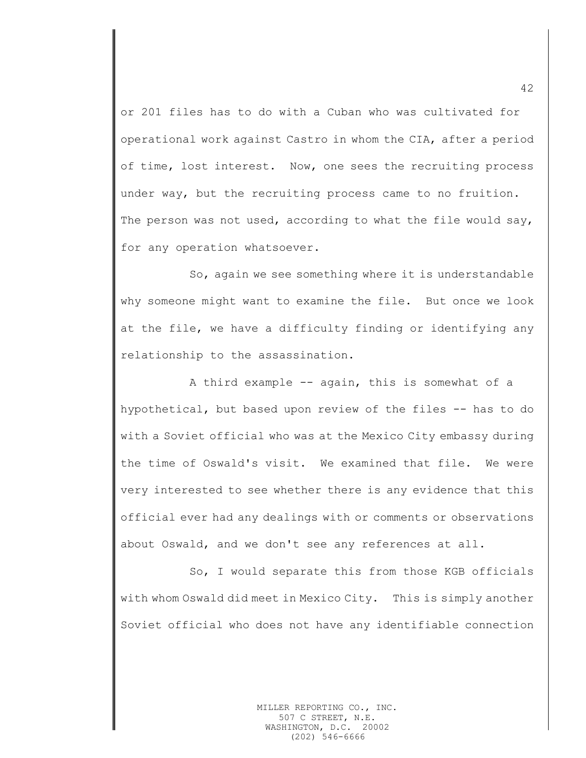or 201 files has to do with a Cuban who was cultivated for operational work against Castro in whom the CIA, after a period of time, lost interest. Now, one sees the recruiting process under way, but the recruiting process came to no fruition. The person was not used, according to what the file would say, for any operation whatsoever.

So, again we see something where it is understandable why someone might want to examine the file. But once we look at the file, we have a difficulty finding or identifying any relationship to the assassination.

A third example -- again, this is somewhat of a hypothetical, but based upon review of the files -- has to do with a Soviet official who was at the Mexico City embassy during the time of Oswald's visit. We examined that file. We were very interested to see whether there is any evidence that this official ever had any dealings with or comments or observations about Oswald, and we don't see any references at all.

So, I would separate this from those KGB officials with whom Oswald did meet in Mexico City. This is simply another Soviet official who does not have any identifiable connection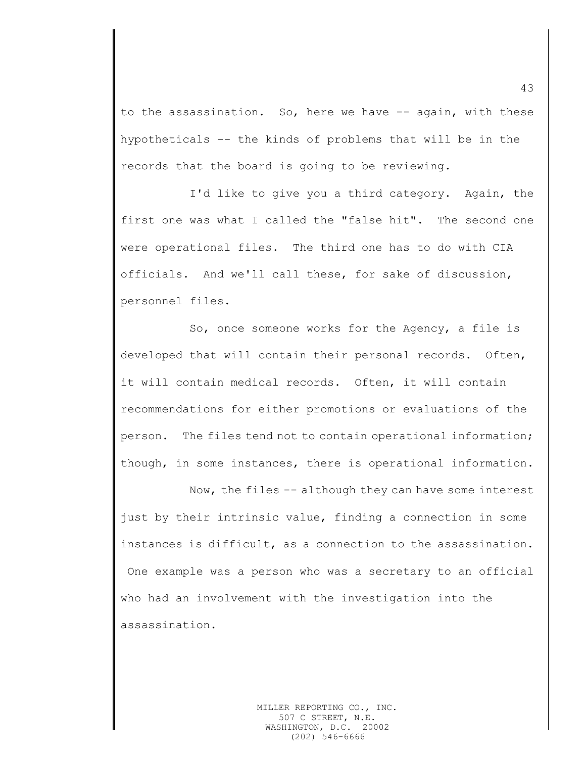to the assassination. So, here we have -- again, with these hypotheticals -- the kinds of problems that will be in the records that the board is going to be reviewing.

I'd like to give you a third category. Again, the first one was what I called the "false hit". The second one were operational files. The third one has to do with CIA officials. And we'll call these, for sake of discussion, personnel files.

So, once someone works for the Agency, a file is developed that will contain their personal records. Often, it will contain medical records. Often, it will contain recommendations for either promotions or evaluations of the person. The files tend not to contain operational information; though, in some instances, there is operational information.

Now, the files -- although they can have some interest just by their intrinsic value, finding a connection in some instances is difficult, as a connection to the assassination. One example was a person who was a secretary to an official who had an involvement with the investigation into the assassination.

43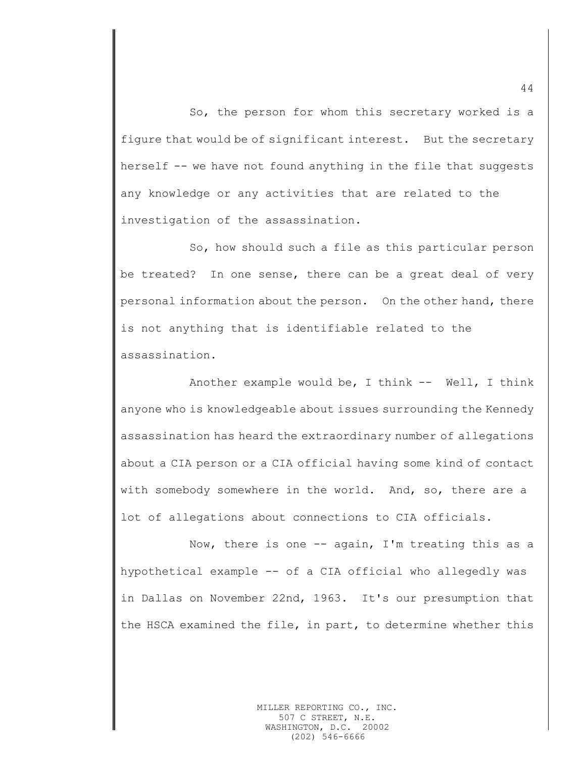So, the person for whom this secretary worked is a figure that would be of significant interest. But the secretary herself -- we have not found anything in the file that suggests any knowledge or any activities that are related to the investigation of the assassination.

So, how should such a file as this particular person be treated? In one sense, there can be a great deal of very personal information about the person. On the other hand, there is not anything that is identifiable related to the assassination.

Another example would be, I think  $--$  Well, I think anyone who is knowledgeable about issues surrounding the Kennedy assassination has heard the extraordinary number of allegations about a CIA person or a CIA official having some kind of contact with somebody somewhere in the world. And, so, there are a lot of allegations about connections to CIA officials.

Now, there is one -- again, I'm treating this as a hypothetical example -- of a CIA official who allegedly was in Dallas on November 22nd, 1963. It's our presumption that the HSCA examined the file, in part, to determine whether this

44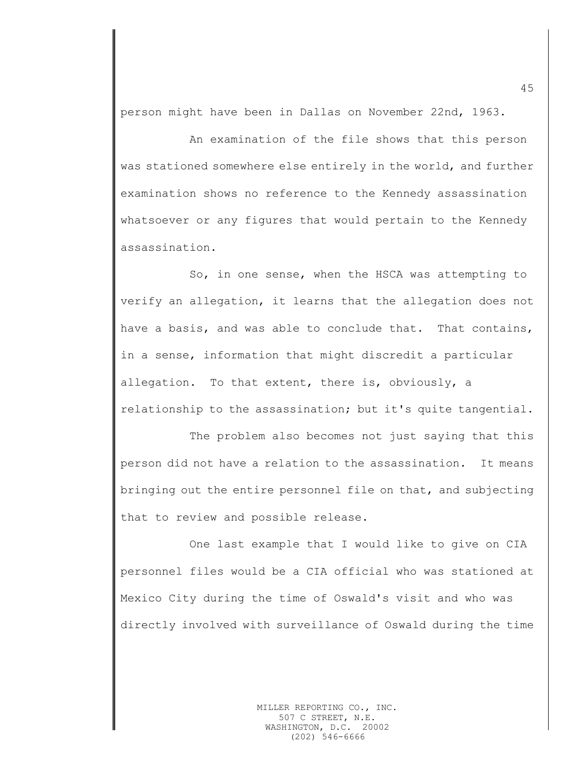person might have been in Dallas on November 22nd, 1963.

An examination of the file shows that this person was stationed somewhere else entirely in the world, and further examination shows no reference to the Kennedy assassination whatsoever or any figures that would pertain to the Kennedy assassination.

So, in one sense, when the HSCA was attempting to verify an allegation, it learns that the allegation does not have a basis, and was able to conclude that. That contains, in a sense, information that might discredit a particular allegation. To that extent, there is, obviously, a relationship to the assassination; but it's quite tangential.

The problem also becomes not just saying that this person did not have a relation to the assassination. It means bringing out the entire personnel file on that, and subjecting that to review and possible release.

One last example that I would like to give on CIA personnel files would be a CIA official who was stationed at Mexico City during the time of Oswald's visit and who was directly involved with surveillance of Oswald during the time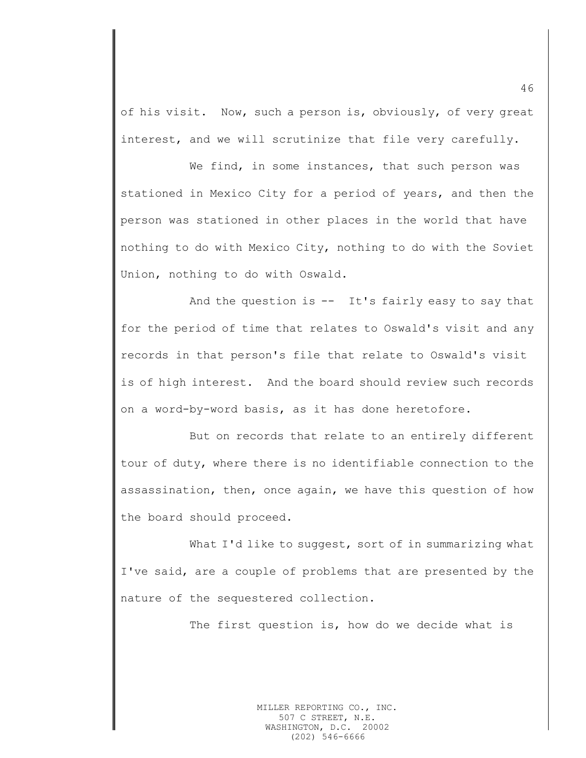of his visit. Now, such a person is, obviously, of very great interest, and we will scrutinize that file very carefully.

We find, in some instances, that such person was stationed in Mexico City for a period of years, and then the person was stationed in other places in the world that have nothing to do with Mexico City, nothing to do with the Soviet Union, nothing to do with Oswald.

And the question is  $--$  It's fairly easy to say that for the period of time that relates to Oswald's visit and any records in that person's file that relate to Oswald's visit is of high interest. And the board should review such records on a word-by-word basis, as it has done heretofore.

But on records that relate to an entirely different tour of duty, where there is no identifiable connection to the assassination, then, once again, we have this question of how the board should proceed.

What I'd like to suggest, sort of in summarizing what I've said, are a couple of problems that are presented by the nature of the sequestered collection.

The first question is, how do we decide what is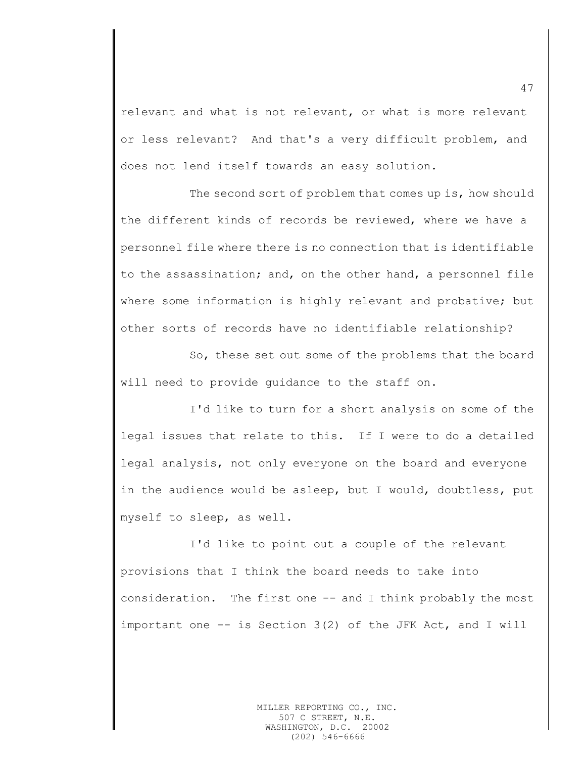relevant and what is not relevant, or what is more relevant or less relevant? And that's a very difficult problem, and does not lend itself towards an easy solution.

The second sort of problem that comes up is, how should the different kinds of records be reviewed, where we have a personnel file where there is no connection that is identifiable to the assassination; and, on the other hand, a personnel file where some information is highly relevant and probative; but other sorts of records have no identifiable relationship?

So, these set out some of the problems that the board will need to provide guidance to the staff on.

I'd like to turn for a short analysis on some of the legal issues that relate to this. If I were to do a detailed legal analysis, not only everyone on the board and everyone in the audience would be asleep, but I would, doubtless, put myself to sleep, as well.

I'd like to point out a couple of the relevant provisions that I think the board needs to take into consideration. The first one -- and I think probably the most important one -- is Section 3(2) of the JFK Act, and I will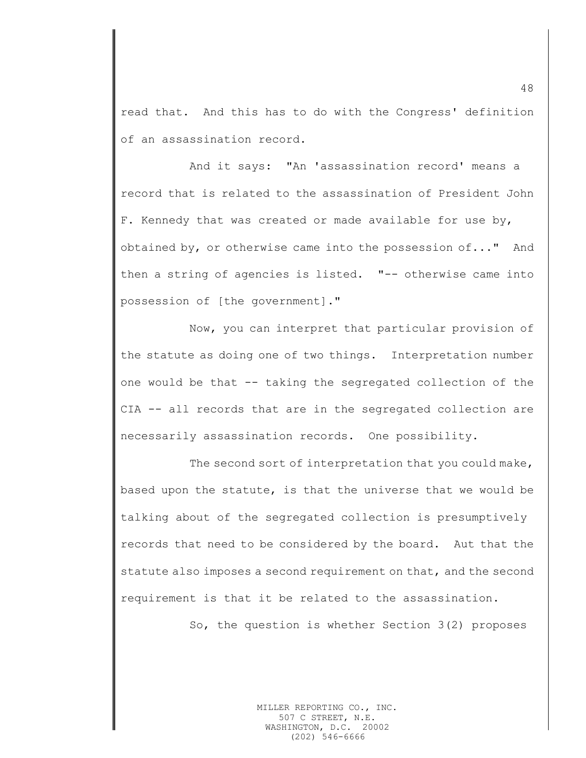read that. And this has to do with the Congress' definition of an assassination record.

And it says: "An 'assassination record' means a record that is related to the assassination of President John F. Kennedy that was created or made available for use by, obtained by, or otherwise came into the possession of..." And then a string of agencies is listed. "-- otherwise came into possession of [the government]."

Now, you can interpret that particular provision of the statute as doing one of two things. Interpretation number one would be that -- taking the segregated collection of the CIA -- all records that are in the segregated collection are necessarily assassination records. One possibility.

The second sort of interpretation that you could make, based upon the statute, is that the universe that we would be talking about of the segregated collection is presumptively records that need to be considered by the board. Aut that the statute also imposes a second requirement on that, and the second requirement is that it be related to the assassination.

So, the question is whether Section 3(2) proposes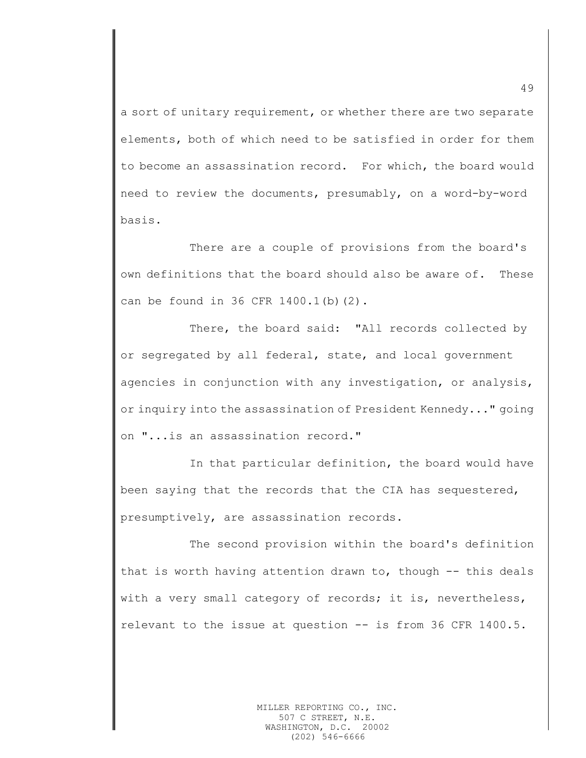a sort of unitary requirement, or whether there are two separate elements, both of which need to be satisfied in order for them to become an assassination record. For which, the board would need to review the documents, presumably, on a word-by-word basis.

There are a couple of provisions from the board's own definitions that the board should also be aware of. These can be found in 36 CFR 1400.1(b)(2).

There, the board said: "All records collected by or segregated by all federal, state, and local government agencies in conjunction with any investigation, or analysis, or inquiry into the assassination of President Kennedy..." going on "...is an assassination record."

In that particular definition, the board would have been saying that the records that the CIA has sequestered, presumptively, are assassination records.

The second provision within the board's definition that is worth having attention drawn to, though -- this deals with a very small category of records; it is, nevertheless, relevant to the issue at question -- is from 36 CFR 1400.5.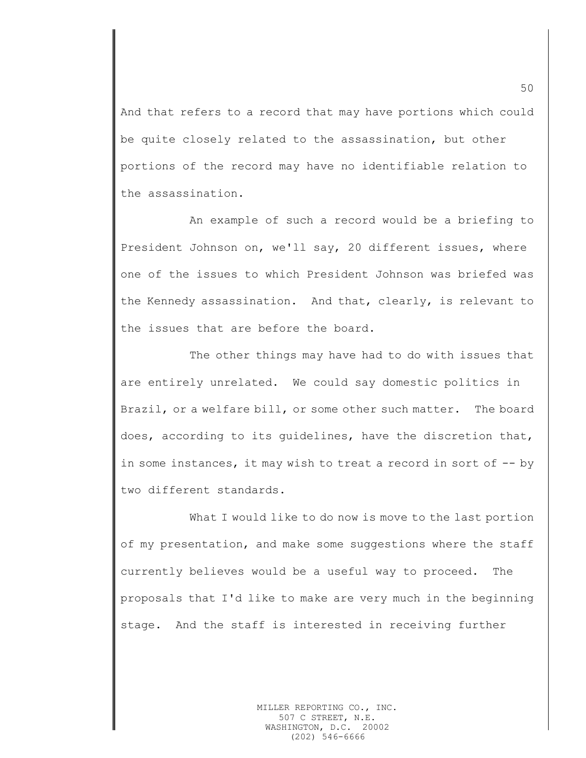And that refers to a record that may have portions which could be quite closely related to the assassination, but other portions of the record may have no identifiable relation to the assassination.

An example of such a record would be a briefing to President Johnson on, we'll say, 20 different issues, where one of the issues to which President Johnson was briefed was the Kennedy assassination. And that, clearly, is relevant to the issues that are before the board.

The other things may have had to do with issues that are entirely unrelated. We could say domestic politics in Brazil, or a welfare bill, or some other such matter. The board does, according to its guidelines, have the discretion that, in some instances, it may wish to treat a record in sort of -- by two different standards.

What I would like to do now is move to the last portion of my presentation, and make some suggestions where the staff currently believes would be a useful way to proceed. The proposals that I'd like to make are very much in the beginning stage. And the staff is interested in receiving further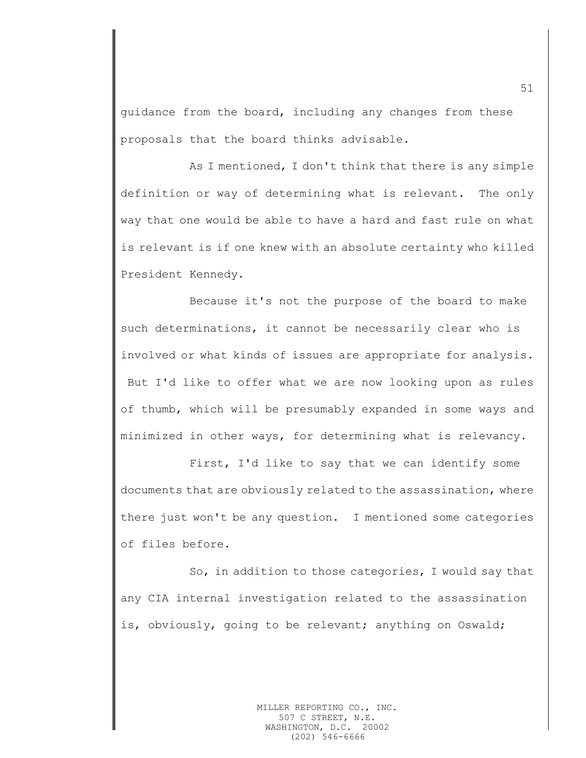guidance from the board, including any changes from these proposals that the board thinks advisable.

As I mentioned, I don't think that there is any simple definition or way of determining what is relevant. The only way that one would be able to have a hard and fast rule on what is relevant is if one knew with an absolute certainty who killed President Kennedy.

Because it's not the purpose of the board to make such determinations, it cannot be necessarily clear who is involved or what kinds of issues are appropriate for analysis. But I'd like to offer what we are now looking upon as rules of thumb, which will be presumably expanded in some ways and minimized in other ways, for determining what is relevancy.

First, I'd like to say that we can identify some documents that are obviously related to the assassination, where there just won't be any question. I mentioned some categories of files before.

So, in addition to those categories, I would say that any CIA internal investigation related to the assassination is, obviously, going to be relevant; anything on Oswald;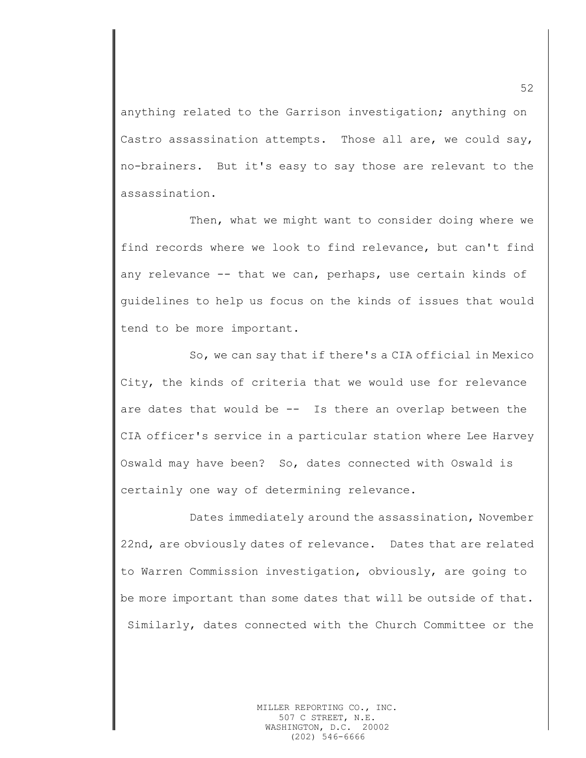anything related to the Garrison investigation; anything on Castro assassination attempts. Those all are, we could say, no-brainers. But it's easy to say those are relevant to the assassination.

Then, what we might want to consider doing where we find records where we look to find relevance, but can't find any relevance -- that we can, perhaps, use certain kinds of guidelines to help us focus on the kinds of issues that would tend to be more important.

So, we can say that if there's a CIA official in Mexico City, the kinds of criteria that we would use for relevance are dates that would be -- Is there an overlap between the CIA officer's service in a particular station where Lee Harvey Oswald may have been? So, dates connected with Oswald is certainly one way of determining relevance.

Dates immediately around the assassination, November 22nd, are obviously dates of relevance. Dates that are related to Warren Commission investigation, obviously, are going to be more important than some dates that will be outside of that. Similarly, dates connected with the Church Committee or the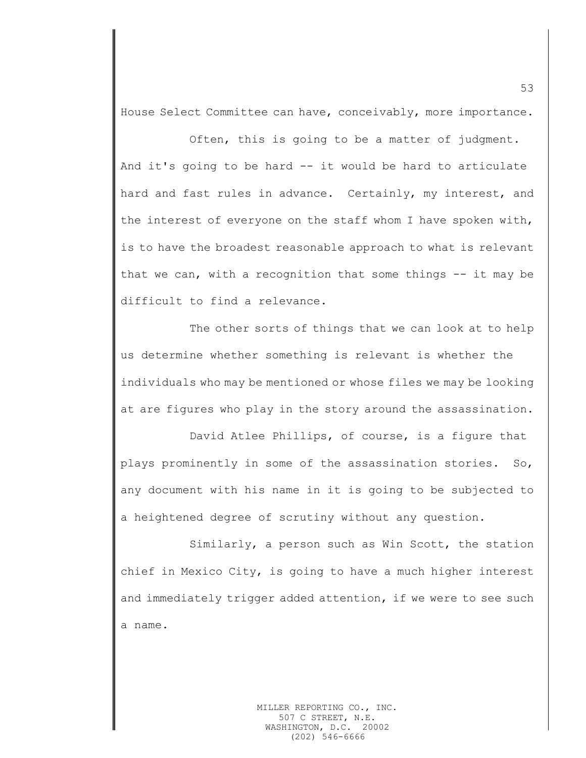House Select Committee can have, conceivably, more importance.

Often, this is going to be a matter of judgment. And it's going to be hard -- it would be hard to articulate hard and fast rules in advance. Certainly, my interest, and the interest of everyone on the staff whom I have spoken with, is to have the broadest reasonable approach to what is relevant that we can, with a recognition that some things -- it may be difficult to find a relevance.

The other sorts of things that we can look at to help us determine whether something is relevant is whether the individuals who may be mentioned or whose files we may be looking at are figures who play in the story around the assassination.

David Atlee Phillips, of course, is a figure that plays prominently in some of the assassination stories. So, any document with his name in it is going to be subjected to a heightened degree of scrutiny without any question.

Similarly, a person such as Win Scott, the station chief in Mexico City, is going to have a much higher interest and immediately trigger added attention, if we were to see such a name.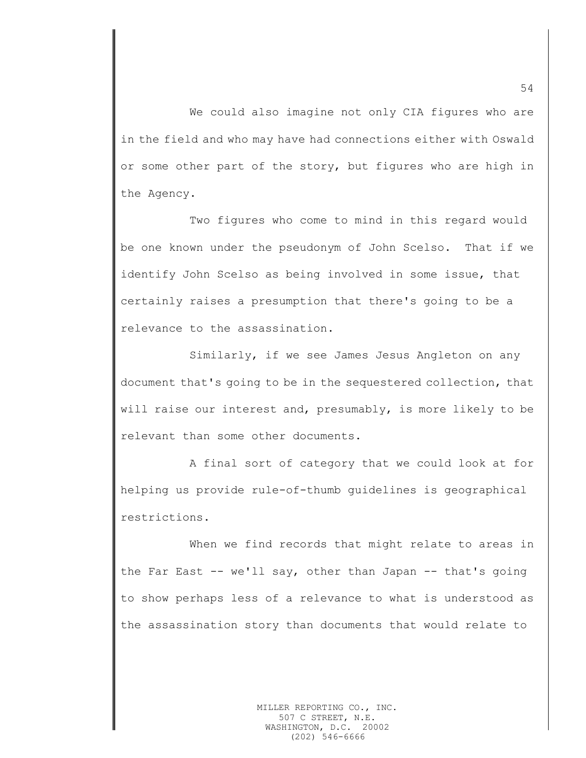We could also imagine not only CIA figures who are in the field and who may have had connections either with Oswald or some other part of the story, but figures who are high in the Agency.

Two figures who come to mind in this regard would be one known under the pseudonym of John Scelso. That if we identify John Scelso as being involved in some issue, that certainly raises a presumption that there's going to be a relevance to the assassination.

Similarly, if we see James Jesus Angleton on any document that's going to be in the sequestered collection, that will raise our interest and, presumably, is more likely to be relevant than some other documents.

A final sort of category that we could look at for helping us provide rule-of-thumb guidelines is geographical restrictions.

When we find records that might relate to areas in the Far East -- we'll say, other than Japan -- that's going to show perhaps less of a relevance to what is understood as the assassination story than documents that would relate to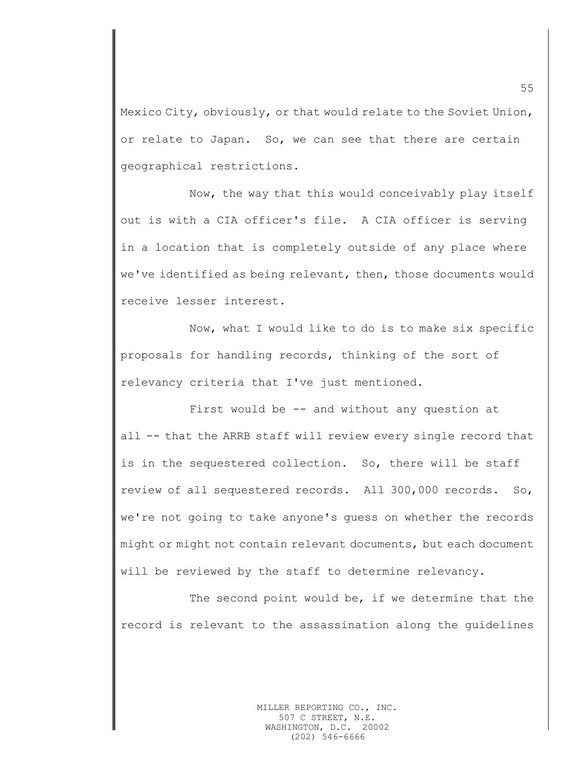Mexico City, obviously, or that would relate to the Soviet Union, or relate to Japan. So, we can see that there are certain geographical restrictions.

Now, the way that this would conceivably play itself out is with a CIA officer's file. A CIA officer is serving in a location that is completely outside of any place where we've identified as being relevant, then, those documents would receive lesser interest.

Now, what I would like to do is to make six specific proposals for handling records, thinking of the sort of relevancy criteria that I've just mentioned.

First would be -- and without any question at all -- that the ARRB staff will review every single record that is in the sequestered collection. So, there will be staff review of all sequestered records. All 300,000 records. So, we're not going to take anyone's guess on whether the records might or might not contain relevant documents, but each document will be reviewed by the staff to determine relevancy.

The second point would be, if we determine that the record is relevant to the assassination along the guidelines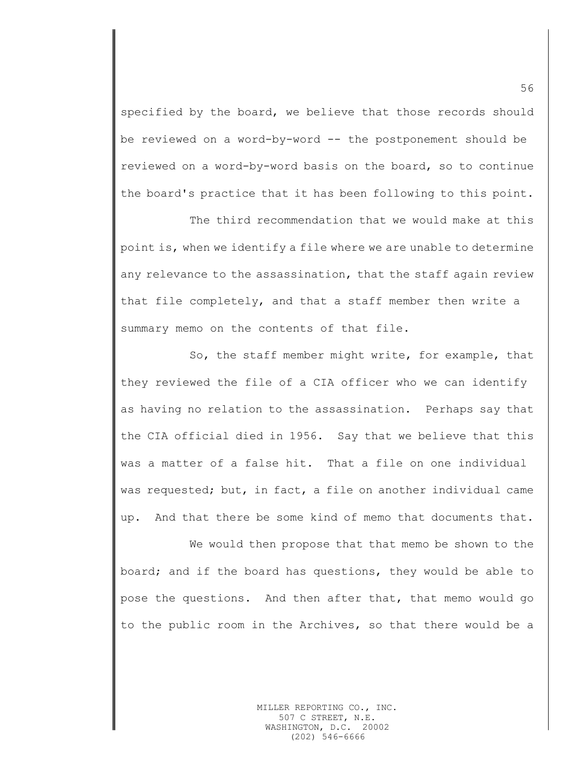specified by the board, we believe that those records should be reviewed on a word-by-word -- the postponement should be reviewed on a word-by-word basis on the board, so to continue the board's practice that it has been following to this point.

The third recommendation that we would make at this point is, when we identify a file where we are unable to determine any relevance to the assassination, that the staff again review that file completely, and that a staff member then write a summary memo on the contents of that file.

So, the staff member might write, for example, that they reviewed the file of a CIA officer who we can identify as having no relation to the assassination. Perhaps say that the CIA official died in 1956. Say that we believe that this was a matter of a false hit. That a file on one individual was requested; but, in fact, a file on another individual came up. And that there be some kind of memo that documents that.

We would then propose that that memo be shown to the board; and if the board has questions, they would be able to pose the questions. And then after that, that memo would go to the public room in the Archives, so that there would be a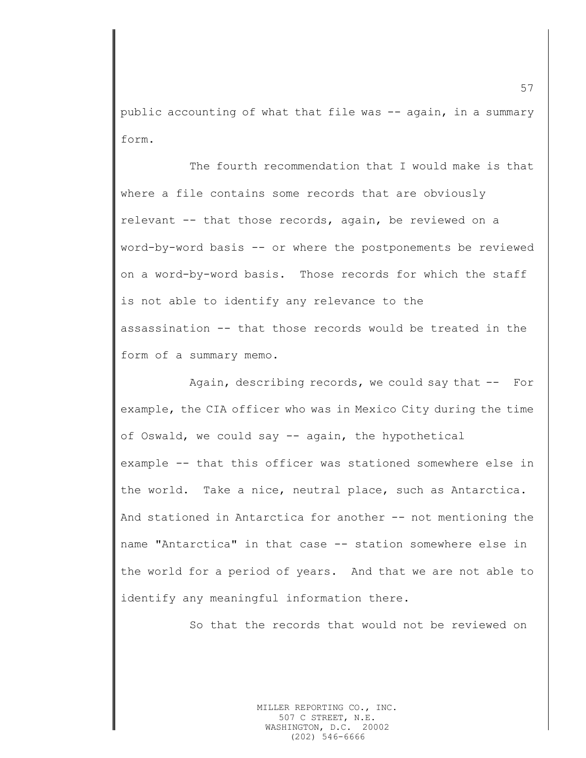public accounting of what that file was -- again, in a summary form.

The fourth recommendation that I would make is that where a file contains some records that are obviously relevant -- that those records, again, be reviewed on a word-by-word basis -- or where the postponements be reviewed on a word-by-word basis. Those records for which the staff is not able to identify any relevance to the assassination -- that those records would be treated in the form of a summary memo.

Again, describing records, we could say that -- For example, the CIA officer who was in Mexico City during the time of Oswald, we could say -- again, the hypothetical example -- that this officer was stationed somewhere else in the world. Take a nice, neutral place, such as Antarctica.

And stationed in Antarctica for another -- not mentioning the name "Antarctica" in that case -- station somewhere else in the world for a period of years. And that we are not able to identify any meaningful information there.

So that the records that would not be reviewed on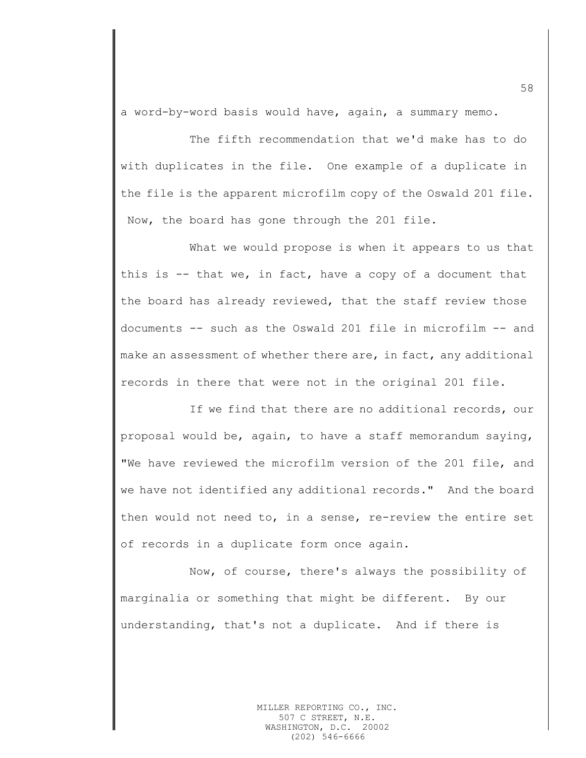a word-by-word basis would have, again, a summary memo.

The fifth recommendation that we'd make has to do with duplicates in the file. One example of a duplicate in the file is the apparent microfilm copy of the Oswald 201 file. Now, the board has gone through the 201 file.

What we would propose is when it appears to us that this is  $-$  that we, in fact, have a copy of a document that the board has already reviewed, that the staff review those documents -- such as the Oswald 201 file in microfilm -- and make an assessment of whether there are, in fact, any additional records in there that were not in the original 201 file.

If we find that there are no additional records, our proposal would be, again, to have a staff memorandum saying, "We have reviewed the microfilm version of the 201 file, and we have not identified any additional records." And the board then would not need to, in a sense, re-review the entire set of records in a duplicate form once again.

Now, of course, there's always the possibility of marginalia or something that might be different. By our understanding, that's not a duplicate. And if there is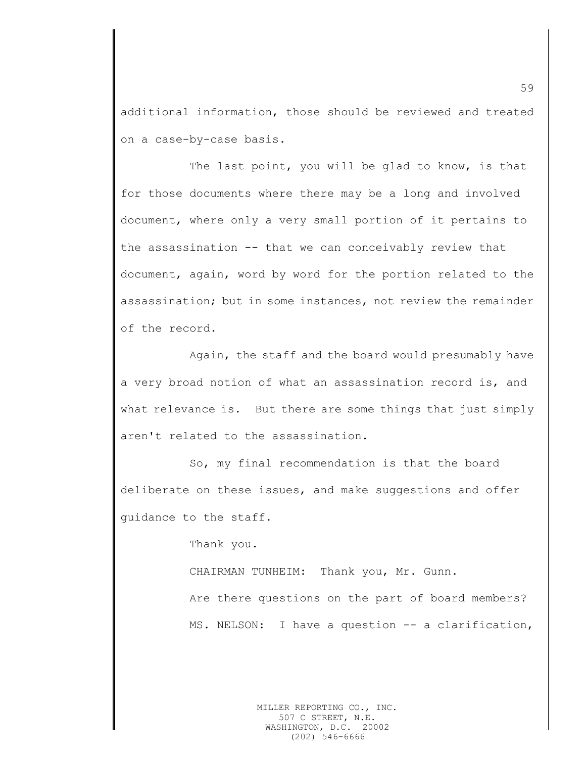additional information, those should be reviewed and treated on a case-by-case basis.

The last point, you will be glad to know, is that for those documents where there may be a long and involved document, where only a very small portion of it pertains to the assassination -- that we can conceivably review that document, again, word by word for the portion related to the assassination; but in some instances, not review the remainder of the record.

Again, the staff and the board would presumably have a very broad notion of what an assassination record is, and what relevance is. But there are some things that just simply aren't related to the assassination.

So, my final recommendation is that the board deliberate on these issues, and make suggestions and offer guidance to the staff.

Thank you.

CHAIRMAN TUNHEIM: Thank you, Mr. Gunn. Are there questions on the part of board members? MS. NELSON: I have a question -- a clarification,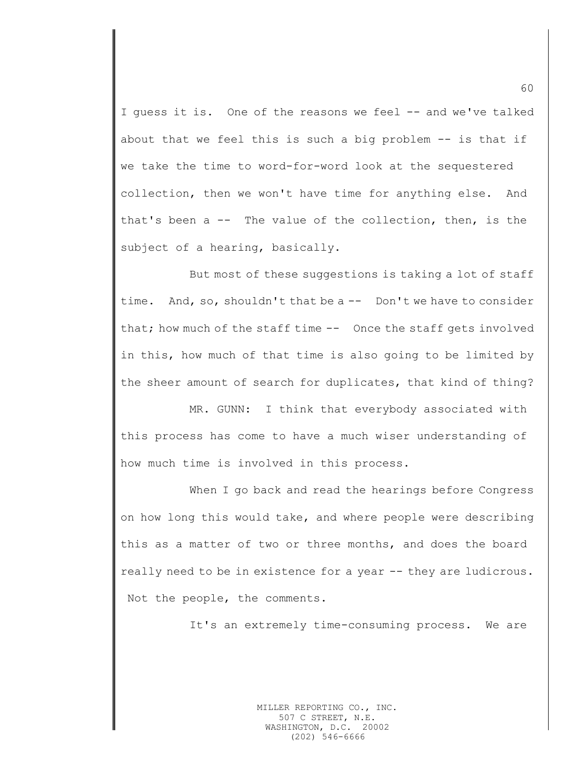I quess it is. One of the reasons we feel -- and we've talked about that we feel this is such a big problem -- is that if we take the time to word-for-word look at the sequestered collection, then we won't have time for anything else. And that's been a -- The value of the collection, then, is the subject of a hearing, basically.

But most of these suggestions is taking a lot of staff time. And, so, shouldn't that be a -- Don't we have to consider that; how much of the staff time  $-$  Once the staff gets involved in this, how much of that time is also going to be limited by the sheer amount of search for duplicates, that kind of thing?

MR. GUNN: I think that everybody associated with this process has come to have a much wiser understanding of how much time is involved in this process.

When I go back and read the hearings before Congress on how long this would take, and where people were describing this as a matter of two or three months, and does the board really need to be in existence for a year -- they are ludicrous. Not the people, the comments.

It's an extremely time-consuming process. We are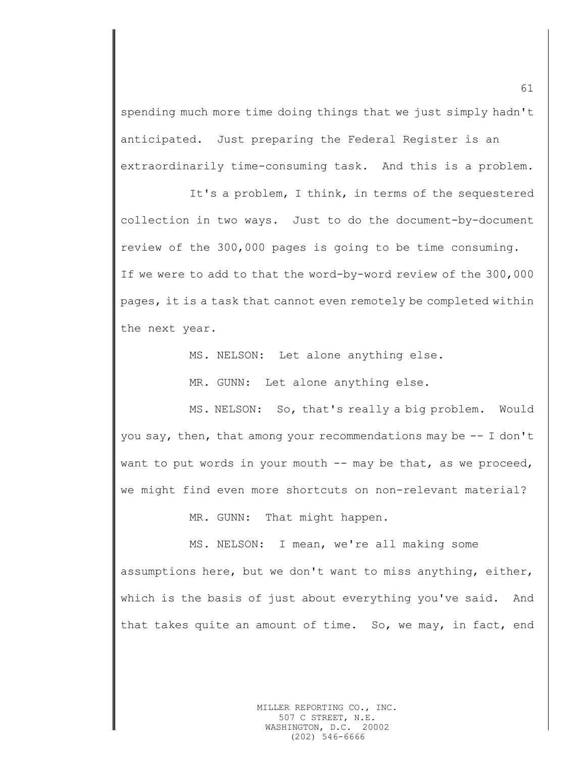spending much more time doing things that we just simply hadn't anticipated. Just preparing the Federal Register is an extraordinarily time-consuming task. And this is a problem.

It's a problem, I think, in terms of the sequestered collection in two ways. Just to do the document-by-document review of the 300,000 pages is going to be time consuming. If we were to add to that the word-by-word review of the 300,000 pages, it is a task that cannot even remotely be completed within the next year.

MS. NELSON: Let alone anything else.

MR. GUNN: Let alone anything else.

MS. NELSON: So, that's really a big problem. Would you say, then, that among your recommendations may be -- I don't want to put words in your mouth  $--$  may be that, as we proceed, we might find even more shortcuts on non-relevant material?

MR. GUNN: That might happen.

MS. NELSON: I mean, we're all making some assumptions here, but we don't want to miss anything, either, which is the basis of just about everything you've said. And that takes quite an amount of time. So, we may, in fact, end

61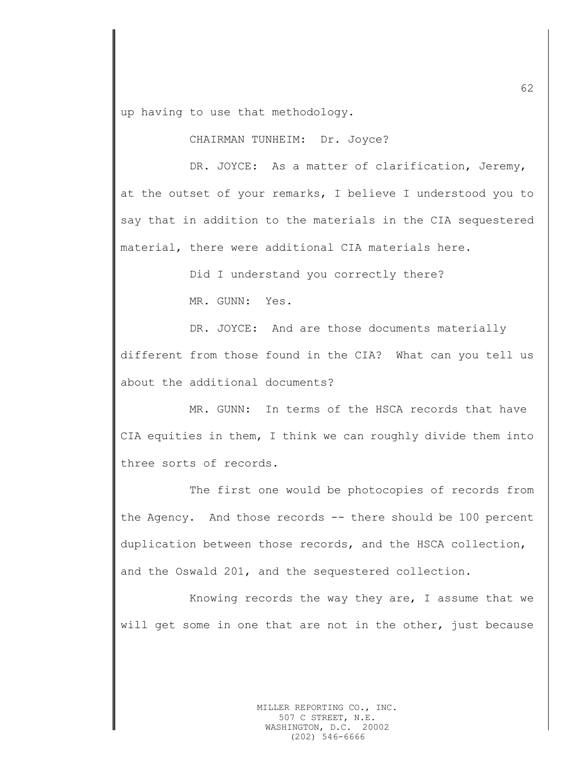up having to use that methodology.

CHAIRMAN TUNHEIM: Dr. Joyce?

DR. JOYCE: As a matter of clarification, Jeremy, at the outset of your remarks, I believe I understood you to say that in addition to the materials in the CIA sequestered material, there were additional CIA materials here.

Did I understand you correctly there?

MR. GUNN: Yes.

DR. JOYCE: And are those documents materially different from those found in the CIA? What can you tell us about the additional documents?

MR. GUNN: In terms of the HSCA records that have CIA equities in them, I think we can roughly divide them into three sorts of records.

The first one would be photocopies of records from the Agency. And those records -- there should be 100 percent duplication between those records, and the HSCA collection, and the Oswald 201, and the sequestered collection.

Knowing records the way they are, I assume that we will get some in one that are not in the other, just because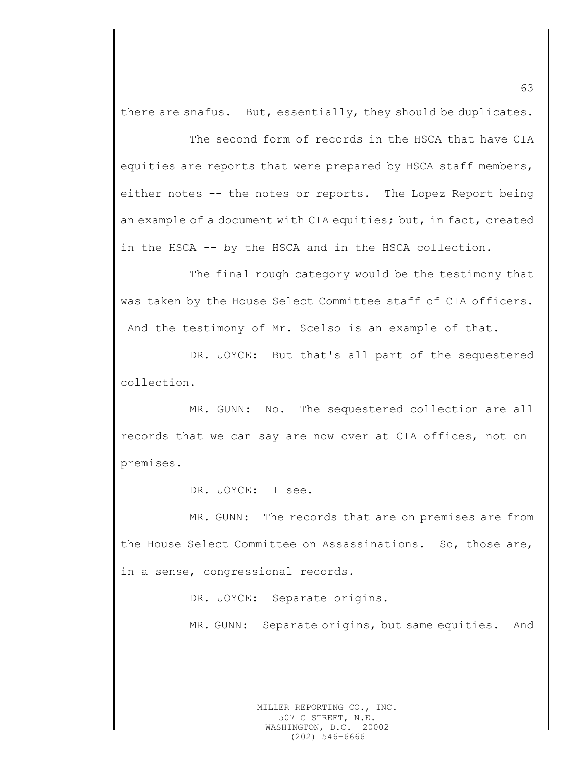there are snafus. But, essentially, they should be duplicates.

The second form of records in the HSCA that have CIA equities are reports that were prepared by HSCA staff members, either notes -- the notes or reports. The Lopez Report being an example of a document with CIA equities; but, in fact, created in the HSCA -- by the HSCA and in the HSCA collection.

The final rough category would be the testimony that was taken by the House Select Committee staff of CIA officers. And the testimony of Mr. Scelso is an example of that.

DR. JOYCE: But that's all part of the sequestered collection.

MR. GUNN: No. The sequestered collection are all records that we can say are now over at CIA offices, not on premises.

DR. JOYCE: I see.

MR. GUNN: The records that are on premises are from the House Select Committee on Assassinations. So, those are, in a sense, congressional records.

DR. JOYCE: Separate origins.

MR. GUNN: Separate origins, but same equities. And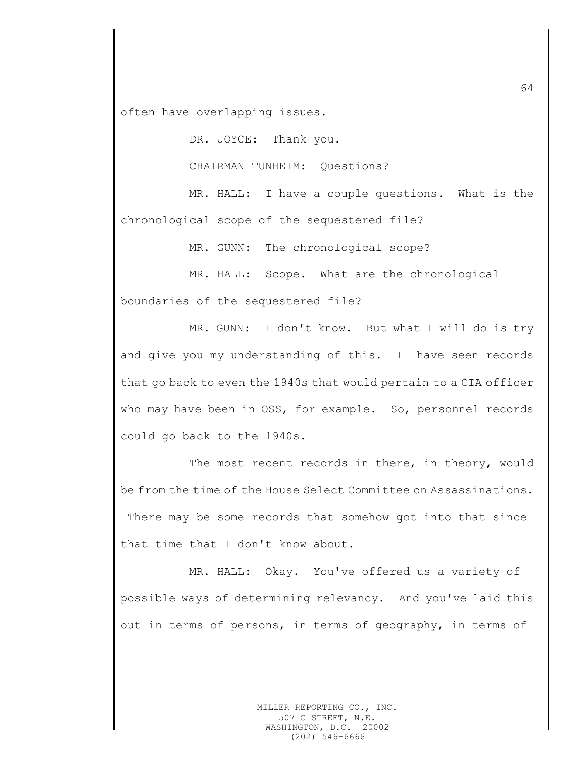often have overlapping issues.

DR. JOYCE: Thank you.

CHAIRMAN TUNHEIM: Questions?

MR. HALL: I have a couple questions. What is the chronological scope of the sequestered file?

MR. GUNN: The chronological scope?

MR. HALL: Scope. What are the chronological boundaries of the sequestered file?

MR. GUNN: I don't know. But what I will do is try and give you my understanding of this. I have seen records that go back to even the 1940s that would pertain to a CIA officer who may have been in OSS, for example. So, personnel records could go back to the 1940s.

The most recent records in there, in theory, would be from the time of the House Select Committee on Assassinations. There may be some records that somehow got into that since that time that I don't know about.

MR. HALL: Okay. You've offered us a variety of possible ways of determining relevancy. And you've laid this out in terms of persons, in terms of geography, in terms of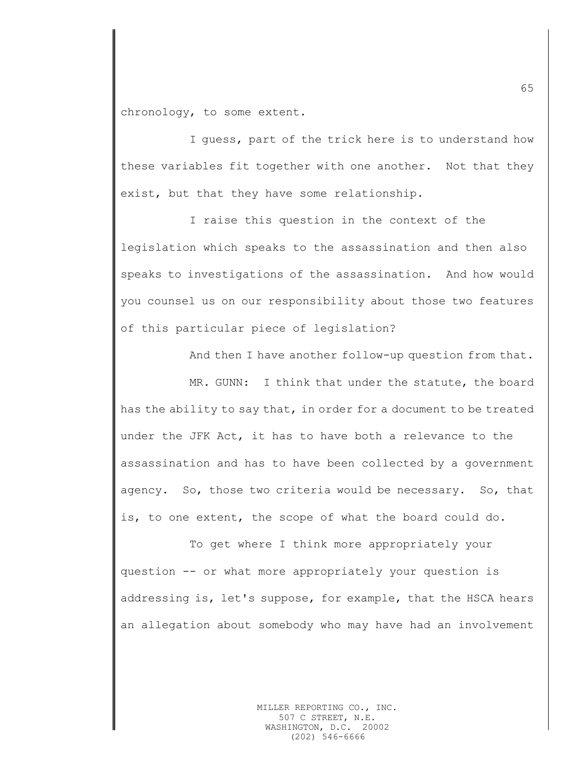chronology, to some extent.

I guess, part of the trick here is to understand how these variables fit together with one another. Not that they exist, but that they have some relationship.

I raise this question in the context of the legislation which speaks to the assassination and then also speaks to investigations of the assassination. And how would you counsel us on our responsibility about those two features of this particular piece of legislation?

And then I have another follow-up question from that.

MR. GUNN: I think that under the statute, the board has the ability to say that, in order for a document to be treated under the JFK Act, it has to have both a relevance to the assassination and has to have been collected by a government agency. So, those two criteria would be necessary. So, that is, to one extent, the scope of what the board could do.

To get where I think more appropriately your question -- or what more appropriately your question is addressing is, let's suppose, for example, that the HSCA hears an allegation about somebody who may have had an involvement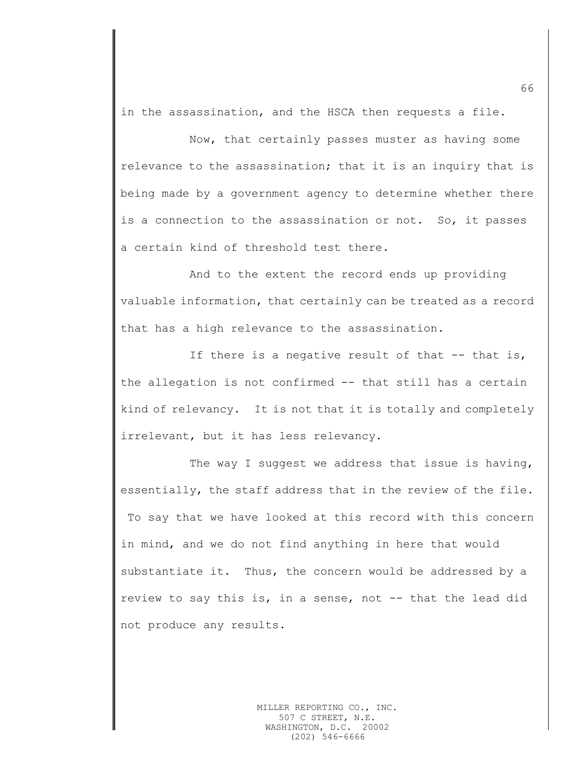in the assassination, and the HSCA then requests a file.

Now, that certainly passes muster as having some relevance to the assassination; that it is an inquiry that is being made by a government agency to determine whether there is a connection to the assassination or not. So, it passes a certain kind of threshold test there.

And to the extent the record ends up providing valuable information, that certainly can be treated as a record that has a high relevance to the assassination.

If there is a negative result of that  $-$ - that is, the allegation is not confirmed -- that still has a certain kind of relevancy. It is not that it is totally and completely irrelevant, but it has less relevancy.

The way I suggest we address that issue is having, essentially, the staff address that in the review of the file. To say that we have looked at this record with this concern in mind, and we do not find anything in here that would substantiate it. Thus, the concern would be addressed by a review to say this is, in a sense, not -- that the lead did not produce any results.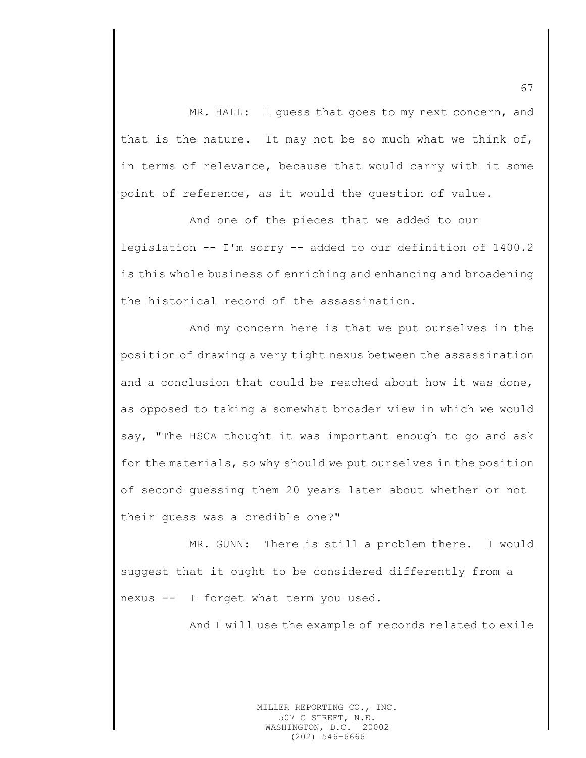MR. HALL: I guess that goes to my next concern, and that is the nature. It may not be so much what we think of, in terms of relevance, because that would carry with it some point of reference, as it would the question of value.

And one of the pieces that we added to our legislation -- I'm sorry -- added to our definition of 1400.2 is this whole business of enriching and enhancing and broadening the historical record of the assassination.

And my concern here is that we put ourselves in the position of drawing a very tight nexus between the assassination and a conclusion that could be reached about how it was done, as opposed to taking a somewhat broader view in which we would say, "The HSCA thought it was important enough to go and ask for the materials, so why should we put ourselves in the position of second guessing them 20 years later about whether or not their guess was a credible one?"

MR. GUNN: There is still a problem there. I would suggest that it ought to be considered differently from a nexus -- I forget what term you used.

And I will use the example of records related to exile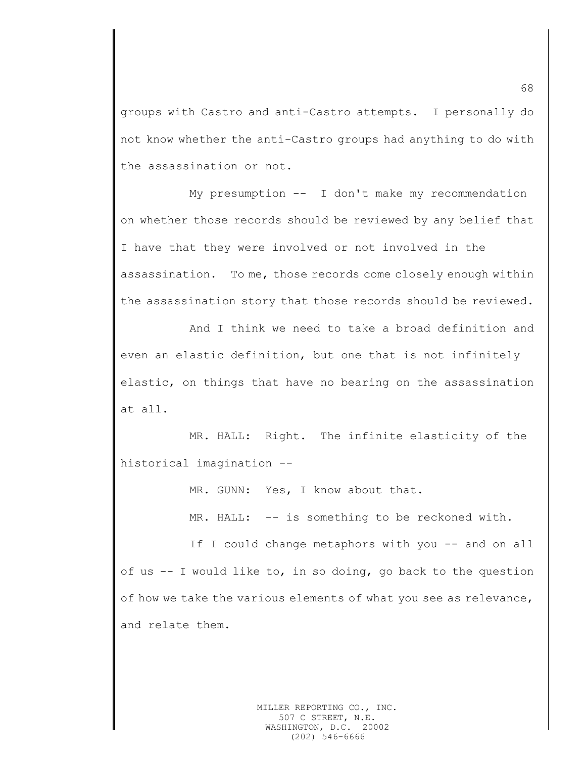groups with Castro and anti-Castro attempts. I personally do not know whether the anti-Castro groups had anything to do with the assassination or not.

My presumption -- I don't make my recommendation on whether those records should be reviewed by any belief that I have that they were involved or not involved in the assassination. To me, those records come closely enough within the assassination story that those records should be reviewed.

And I think we need to take a broad definition and even an elastic definition, but one that is not infinitely elastic, on things that have no bearing on the assassination at all.

MR. HALL: Right. The infinite elasticity of the historical imagination --

MR. GUNN: Yes, I know about that.

MR. HALL: -- is something to be reckoned with.

If I could change metaphors with you -- and on all of us -- I would like to, in so doing, go back to the question of how we take the various elements of what you see as relevance, and relate them.

68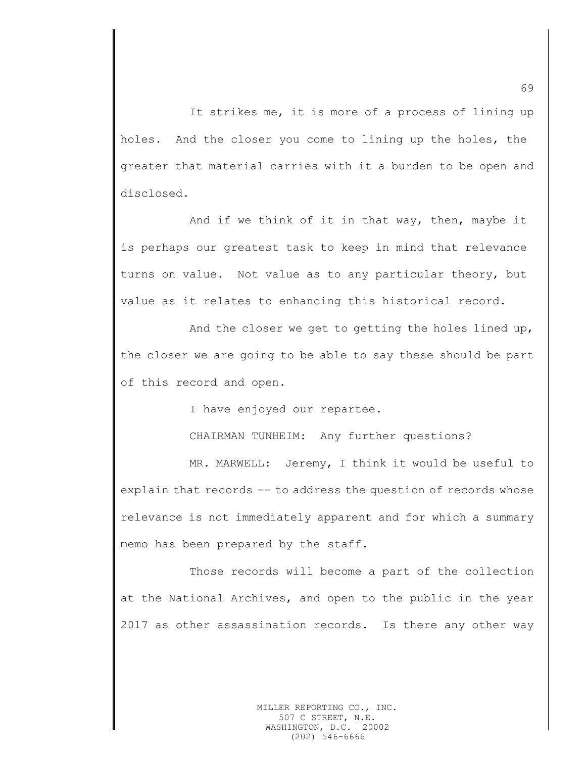It strikes me, it is more of a process of lining up holes. And the closer you come to lining up the holes, the greater that material carries with it a burden to be open and disclosed.

And if we think of it in that way, then, maybe it is perhaps our greatest task to keep in mind that relevance turns on value. Not value as to any particular theory, but value as it relates to enhancing this historical record.

And the closer we get to getting the holes lined up, the closer we are going to be able to say these should be part of this record and open.

I have enjoyed our repartee.

CHAIRMAN TUNHEIM: Any further questions?

MR. MARWELL: Jeremy, I think it would be useful to explain that records -- to address the question of records whose relevance is not immediately apparent and for which a summary memo has been prepared by the staff.

Those records will become a part of the collection at the National Archives, and open to the public in the year 2017 as other assassination records. Is there any other way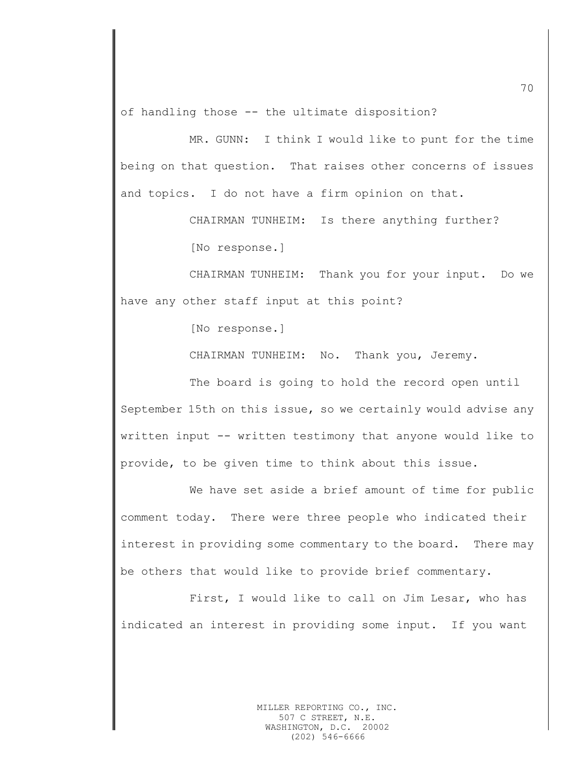of handling those -- the ultimate disposition?

MR. GUNN: I think I would like to punt for the time being on that question. That raises other concerns of issues and topics. I do not have a firm opinion on that.

CHAIRMAN TUNHEIM: Is there anything further?

[No response.]

CHAIRMAN TUNHEIM: Thank you for your input. Do we have any other staff input at this point?

[No response.]

CHAIRMAN TUNHEIM: No. Thank you, Jeremy.

The board is going to hold the record open until September 15th on this issue, so we certainly would advise any written input -- written testimony that anyone would like to provide, to be given time to think about this issue.

We have set aside a brief amount of time for public comment today. There were three people who indicated their interest in providing some commentary to the board. There may be others that would like to provide brief commentary.

First, I would like to call on Jim Lesar, who has indicated an interest in providing some input. If you want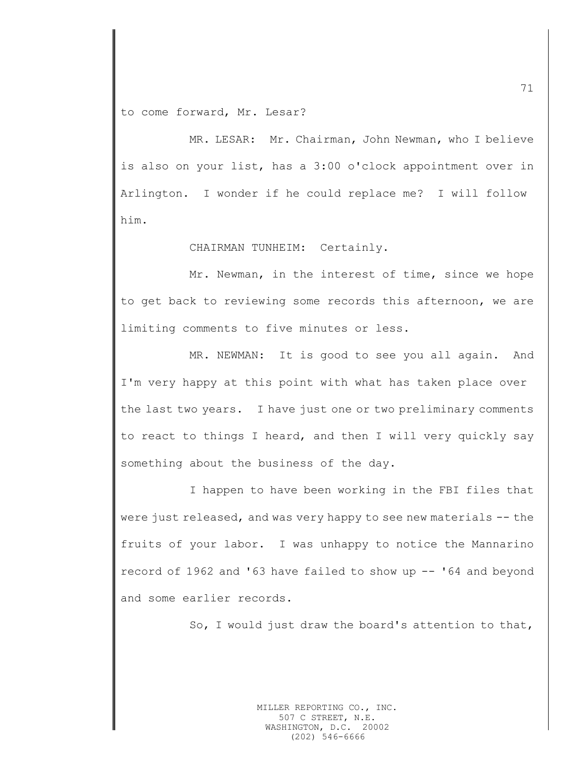to come forward, Mr. Lesar?

MR. LESAR: Mr. Chairman, John Newman, who I believe is also on your list, has a 3:00 o'clock appointment over in Arlington. I wonder if he could replace me? I will follow him.

CHAIRMAN TUNHEIM: Certainly.

Mr. Newman, in the interest of time, since we hope to get back to reviewing some records this afternoon, we are limiting comments to five minutes or less.

MR. NEWMAN: It is good to see you all again. And I'm very happy at this point with what has taken place over the last two years. I have just one or two preliminary comments to react to things I heard, and then I will very quickly say something about the business of the day.

I happen to have been working in the FBI files that were just released, and was very happy to see new materials -- the fruits of your labor. I was unhappy to notice the Mannarino record of 1962 and '63 have failed to show up -- '64 and beyond and some earlier records.

So, I would just draw the board's attention to that,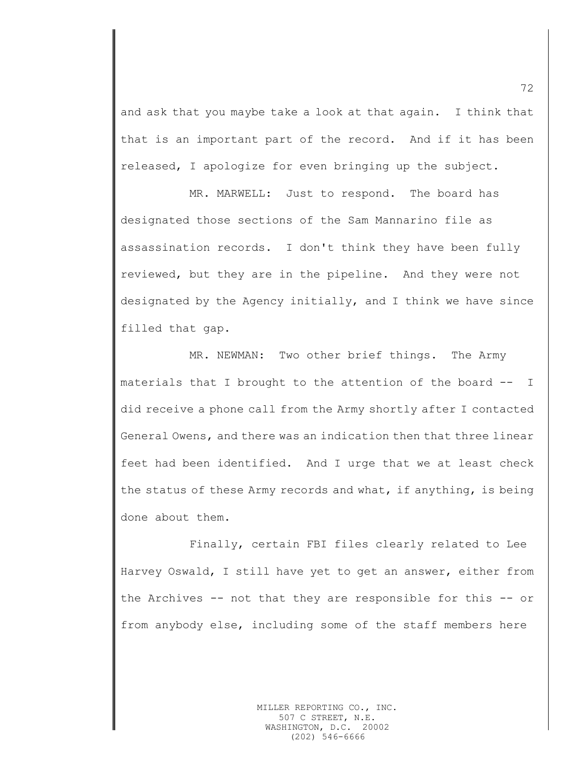and ask that you maybe take a look at that again. I think that that is an important part of the record. And if it has been released, I apologize for even bringing up the subject.

MR. MARWELL: Just to respond. The board has designated those sections of the Sam Mannarino file as assassination records. I don't think they have been fully reviewed, but they are in the pipeline. And they were not designated by the Agency initially, and I think we have since filled that gap.

MR. NEWMAN: Two other brief things. The Army materials that I brought to the attention of the board -- I did receive a phone call from the Army shortly after I contacted General Owens, and there was an indication then that three linear feet had been identified. And I urge that we at least check the status of these Army records and what, if anything, is being done about them.

Finally, certain FBI files clearly related to Lee Harvey Oswald, I still have yet to get an answer, either from the Archives -- not that they are responsible for this -- or from anybody else, including some of the staff members here

72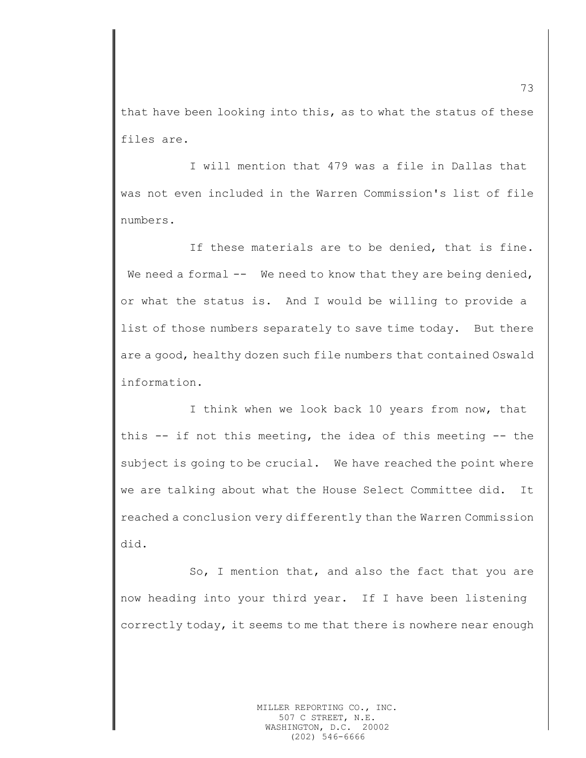that have been looking into this, as to what the status of these files are.

I will mention that 479 was a file in Dallas that was not even included in the Warren Commission's list of file numbers.

If these materials are to be denied, that is fine. We need a formal  $--$  We need to know that they are being denied, or what the status is. And I would be willing to provide a list of those numbers separately to save time today. But there are a good, healthy dozen such file numbers that contained Oswald information.

I think when we look back 10 years from now, that this -- if not this meeting, the idea of this meeting -- the subject is going to be crucial. We have reached the point where we are talking about what the House Select Committee did. It reached a conclusion very differently than the Warren Commission did.

So, I mention that, and also the fact that you are now heading into your third year. If I have been listening correctly today, it seems to me that there is nowhere near enough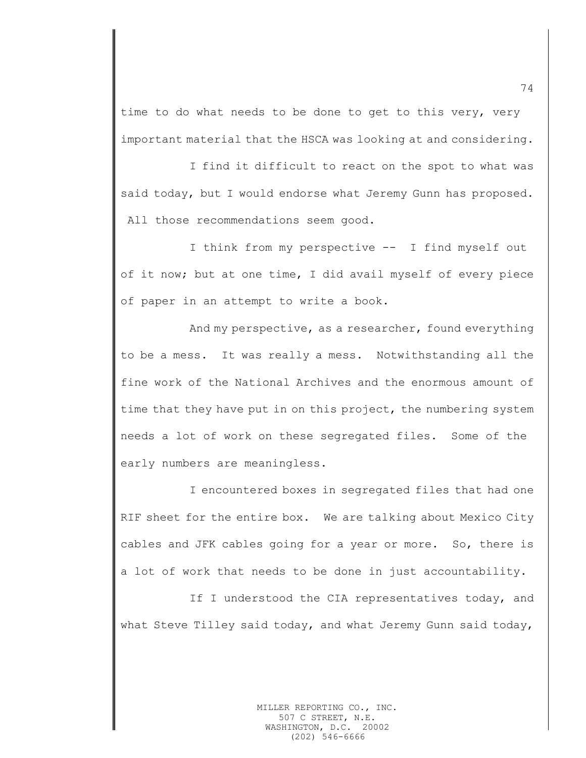time to do what needs to be done to get to this very, very important material that the HSCA was looking at and considering.

I find it difficult to react on the spot to what was said today, but I would endorse what Jeremy Gunn has proposed. All those recommendations seem good.

I think from my perspective -- I find myself out of it now; but at one time, I did avail myself of every piece of paper in an attempt to write a book.

And my perspective, as a researcher, found everything to be a mess. It was really a mess. Notwithstanding all the fine work of the National Archives and the enormous amount of time that they have put in on this project, the numbering system needs a lot of work on these segregated files. Some of the early numbers are meaningless.

I encountered boxes in segregated files that had one RIF sheet for the entire box. We are talking about Mexico City cables and JFK cables going for a year or more. So, there is a lot of work that needs to be done in just accountability.

If I understood the CIA representatives today, and what Steve Tilley said today, and what Jeremy Gunn said today,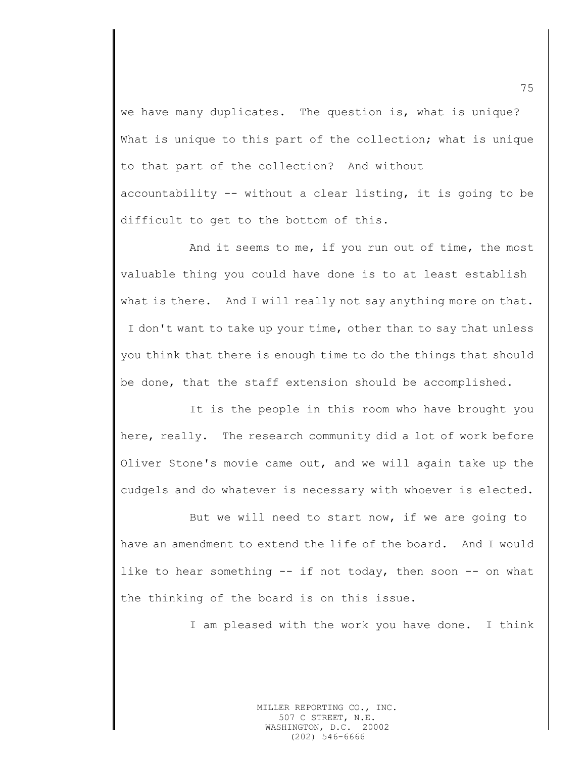we have many duplicates. The question is, what is unique? What is unique to this part of the collection; what is unique to that part of the collection? And without

accountability -- without a clear listing, it is going to be difficult to get to the bottom of this.

And it seems to me, if you run out of time, the most valuable thing you could have done is to at least establish what is there. And I will really not say anything more on that. I don't want to take up your time, other than to say that unless you think that there is enough time to do the things that should be done, that the staff extension should be accomplished.

It is the people in this room who have brought you here, really. The research community did a lot of work before Oliver Stone's movie came out, and we will again take up the cudgels and do whatever is necessary with whoever is elected.

But we will need to start now, if we are going to have an amendment to extend the life of the board. And I would like to hear something -- if not today, then soon -- on what the thinking of the board is on this issue.

I am pleased with the work you have done. I think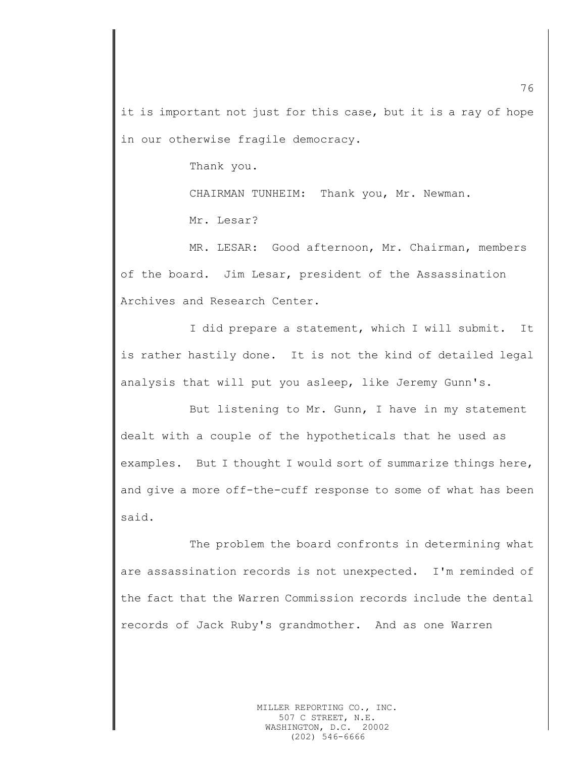it is important not just for this case, but it is a ray of hope in our otherwise fragile democracy.

Thank you.

CHAIRMAN TUNHEIM: Thank you, Mr. Newman.

Mr. Lesar?

MR. LESAR: Good afternoon, Mr. Chairman, members of the board. Jim Lesar, president of the Assassination Archives and Research Center.

I did prepare a statement, which I will submit. It is rather hastily done. It is not the kind of detailed legal analysis that will put you asleep, like Jeremy Gunn's.

But listening to Mr. Gunn, I have in my statement dealt with a couple of the hypotheticals that he used as examples. But I thought I would sort of summarize things here, and give a more off-the-cuff response to some of what has been said.

The problem the board confronts in determining what are assassination records is not unexpected. I'm reminded of the fact that the Warren Commission records include the dental records of Jack Ruby's grandmother. And as one Warren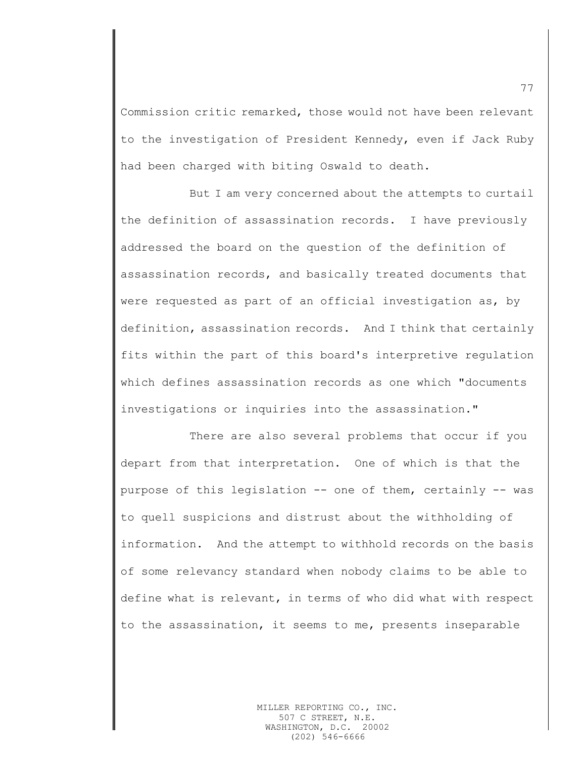Commission critic remarked, those would not have been relevant to the investigation of President Kennedy, even if Jack Ruby had been charged with biting Oswald to death.

But I am very concerned about the attempts to curtail the definition of assassination records. I have previously addressed the board on the question of the definition of assassination records, and basically treated documents that were requested as part of an official investigation as, by definition, assassination records. And I think that certainly fits within the part of this board's interpretive regulation which defines assassination records as one which "documents investigations or inquiries into the assassination."

There are also several problems that occur if you depart from that interpretation. One of which is that the purpose of this legislation -- one of them, certainly -- was to quell suspicions and distrust about the withholding of information. And the attempt to withhold records on the basis of some relevancy standard when nobody claims to be able to define what is relevant, in terms of who did what with respect to the assassination, it seems to me, presents inseparable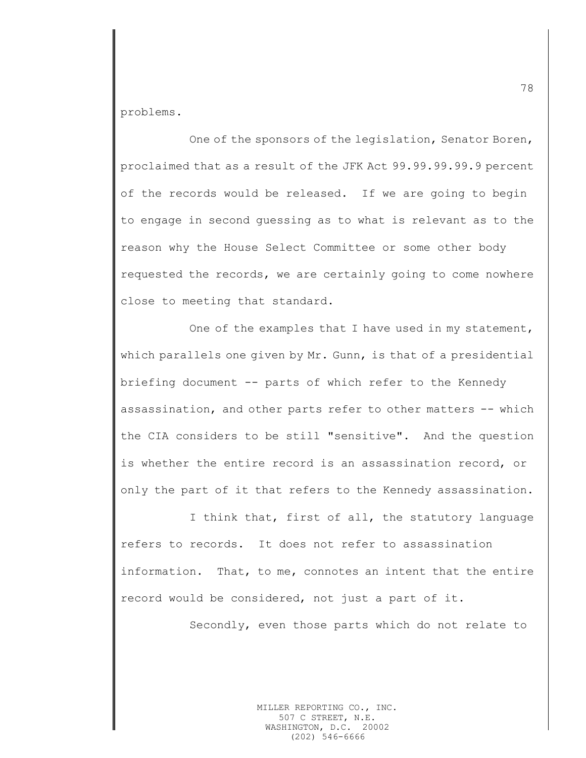problems.

One of the sponsors of the legislation, Senator Boren, proclaimed that as a result of the JFK Act 99.99.99.99.9 percent of the records would be released. If we are going to begin to engage in second guessing as to what is relevant as to the reason why the House Select Committee or some other body requested the records, we are certainly going to come nowhere close to meeting that standard.

One of the examples that I have used in my statement, which parallels one given by Mr. Gunn, is that of a presidential briefing document -- parts of which refer to the Kennedy assassination, and other parts refer to other matters -- which the CIA considers to be still "sensitive". And the question is whether the entire record is an assassination record, or only the part of it that refers to the Kennedy assassination.

I think that, first of all, the statutory language refers to records. It does not refer to assassination information. That, to me, connotes an intent that the entire record would be considered, not just a part of it.

Secondly, even those parts which do not relate to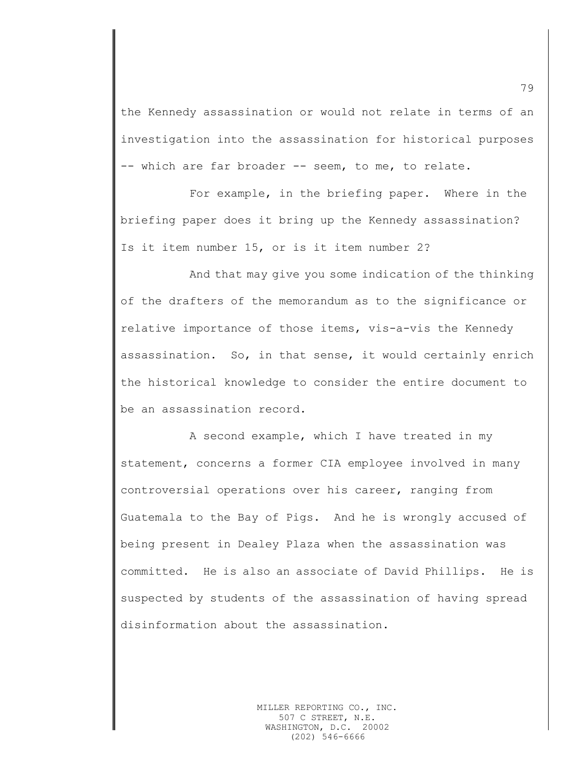the Kennedy assassination or would not relate in terms of an investigation into the assassination for historical purposes -- which are far broader -- seem, to me, to relate.

For example, in the briefing paper. Where in the briefing paper does it bring up the Kennedy assassination? Is it item number 15, or is it item number 2?

And that may give you some indication of the thinking of the drafters of the memorandum as to the significance or relative importance of those items, vis-a-vis the Kennedy assassination. So, in that sense, it would certainly enrich the historical knowledge to consider the entire document to be an assassination record.

A second example, which I have treated in my statement, concerns a former CIA employee involved in many controversial operations over his career, ranging from Guatemala to the Bay of Pigs. And he is wrongly accused of being present in Dealey Plaza when the assassination was committed. He is also an associate of David Phillips. He is suspected by students of the assassination of having spread disinformation about the assassination.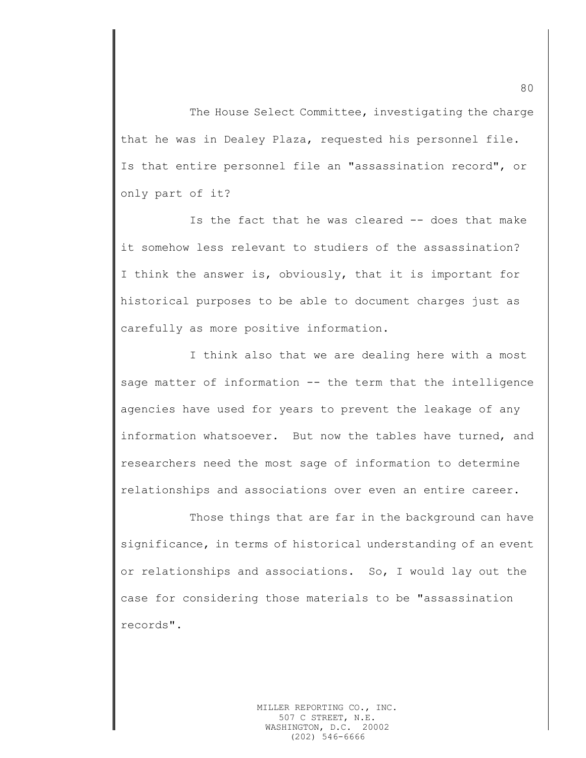The House Select Committee, investigating the charge that he was in Dealey Plaza, requested his personnel file. Is that entire personnel file an "assassination record", or only part of it?

Is the fact that he was cleared -- does that make it somehow less relevant to studiers of the assassination? I think the answer is, obviously, that it is important for historical purposes to be able to document charges just as carefully as more positive information.

I think also that we are dealing here with a most sage matter of information -- the term that the intelligence agencies have used for years to prevent the leakage of any information whatsoever. But now the tables have turned, and researchers need the most sage of information to determine relationships and associations over even an entire career.

Those things that are far in the background can have significance, in terms of historical understanding of an event or relationships and associations. So, I would lay out the case for considering those materials to be "assassination records".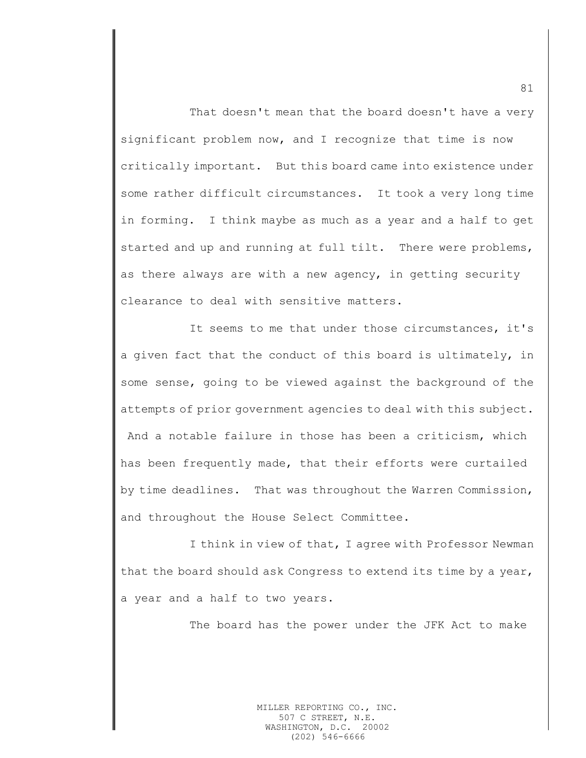That doesn't mean that the board doesn't have a very significant problem now, and I recognize that time is now critically important. But this board came into existence under some rather difficult circumstances. It took a very long time in forming. I think maybe as much as a year and a half to get started and up and running at full tilt. There were problems, as there always are with a new agency, in getting security clearance to deal with sensitive matters.

It seems to me that under those circumstances, it's a given fact that the conduct of this board is ultimately, in some sense, going to be viewed against the background of the attempts of prior government agencies to deal with this subject. And a notable failure in those has been a criticism, which has been frequently made, that their efforts were curtailed by time deadlines. That was throughout the Warren Commission, and throughout the House Select Committee.

I think in view of that, I agree with Professor Newman that the board should ask Congress to extend its time by a year, a year and a half to two years.

The board has the power under the JFK Act to make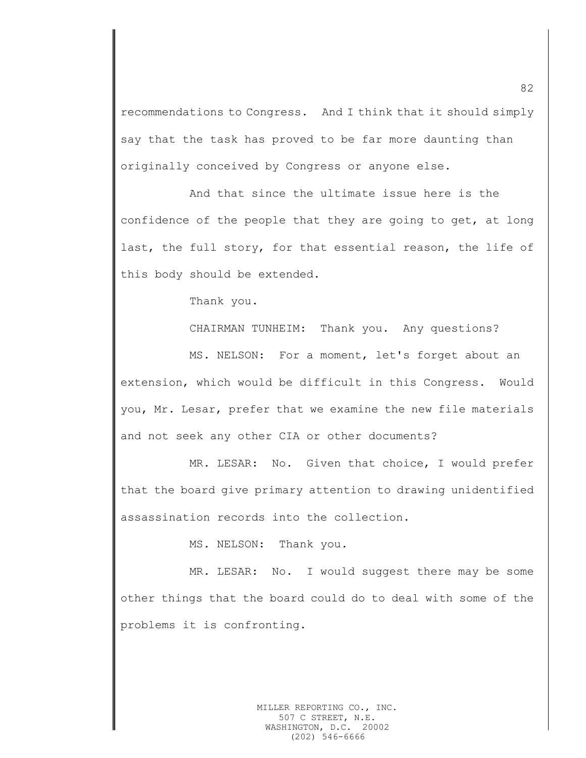recommendations to Congress. And I think that it should simply say that the task has proved to be far more daunting than originally conceived by Congress or anyone else.

And that since the ultimate issue here is the confidence of the people that they are going to get, at long last, the full story, for that essential reason, the life of this body should be extended.

Thank you.

CHAIRMAN TUNHEIM: Thank you. Any questions?

MS. NELSON: For a moment, let's forget about an extension, which would be difficult in this Congress. Would you, Mr. Lesar, prefer that we examine the new file materials and not seek any other CIA or other documents?

MR. LESAR: No. Given that choice, I would prefer that the board give primary attention to drawing unidentified assassination records into the collection.

MS. NELSON: Thank you.

MR. LESAR: No. I would suggest there may be some other things that the board could do to deal with some of the problems it is confronting.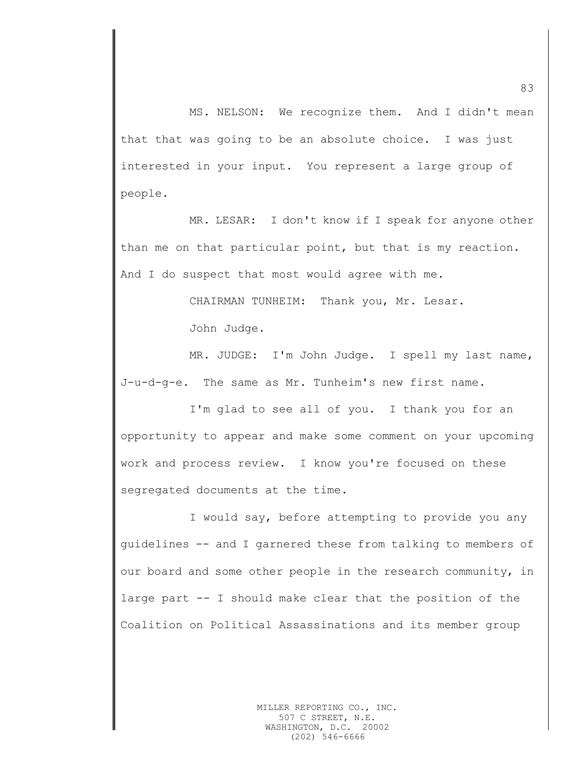MS. NELSON: We recognize them. And I didn't mean that that was going to be an absolute choice. I was just interested in your input. You represent a large group of people.

MR. LESAR: I don't know if I speak for anyone other than me on that particular point, but that is my reaction. And I do suspect that most would agree with me.

> CHAIRMAN TUNHEIM: Thank you, Mr. Lesar. John Judge.

MR. JUDGE: I'm John Judge. I spell my last name, J-u-d-g-e. The same as Mr. Tunheim's new first name.

I'm glad to see all of you. I thank you for an opportunity to appear and make some comment on your upcoming work and process review. I know you're focused on these segregated documents at the time.

I would say, before attempting to provide you any guidelines -- and I garnered these from talking to members of our board and some other people in the research community, in large part -- I should make clear that the position of the Coalition on Political Assassinations and its member group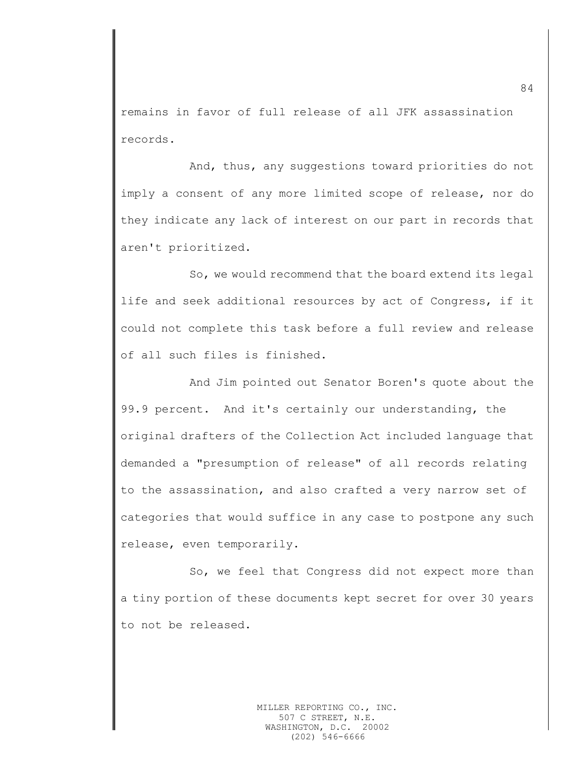remains in favor of full release of all JFK assassination records.

And, thus, any suggestions toward priorities do not imply a consent of any more limited scope of release, nor do they indicate any lack of interest on our part in records that aren't prioritized.

So, we would recommend that the board extend its legal life and seek additional resources by act of Congress, if it could not complete this task before a full review and release of all such files is finished.

And Jim pointed out Senator Boren's quote about the 99.9 percent. And it's certainly our understanding, the original drafters of the Collection Act included language that demanded a "presumption of release" of all records relating to the assassination, and also crafted a very narrow set of categories that would suffice in any case to postpone any such release, even temporarily.

So, we feel that Congress did not expect more than a tiny portion of these documents kept secret for over 30 years to not be released.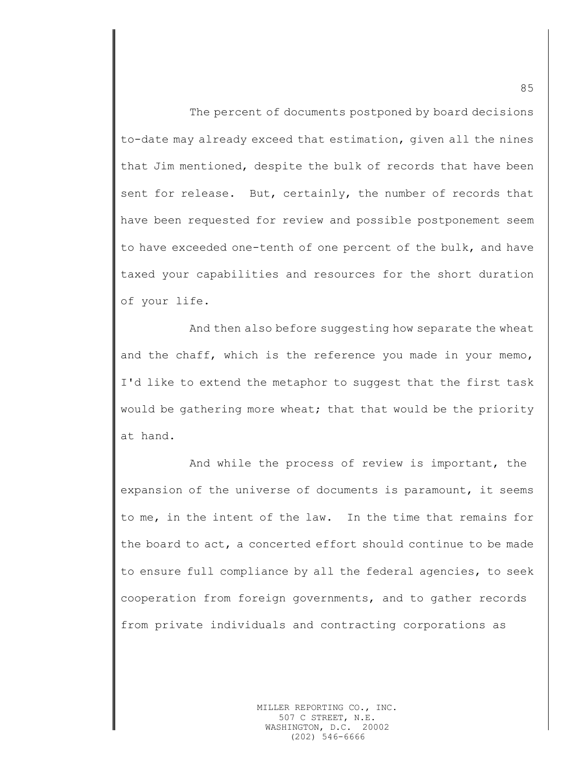The percent of documents postponed by board decisions to-date may already exceed that estimation, given all the nines that Jim mentioned, despite the bulk of records that have been sent for release. But, certainly, the number of records that have been requested for review and possible postponement seem to have exceeded one-tenth of one percent of the bulk, and have taxed your capabilities and resources for the short duration of your life.

And then also before suggesting how separate the wheat and the chaff, which is the reference you made in your memo, I'd like to extend the metaphor to suggest that the first task would be gathering more wheat; that that would be the priority at hand.

And while the process of review is important, the expansion of the universe of documents is paramount, it seems to me, in the intent of the law. In the time that remains for the board to act, a concerted effort should continue to be made to ensure full compliance by all the federal agencies, to seek cooperation from foreign governments, and to gather records from private individuals and contracting corporations as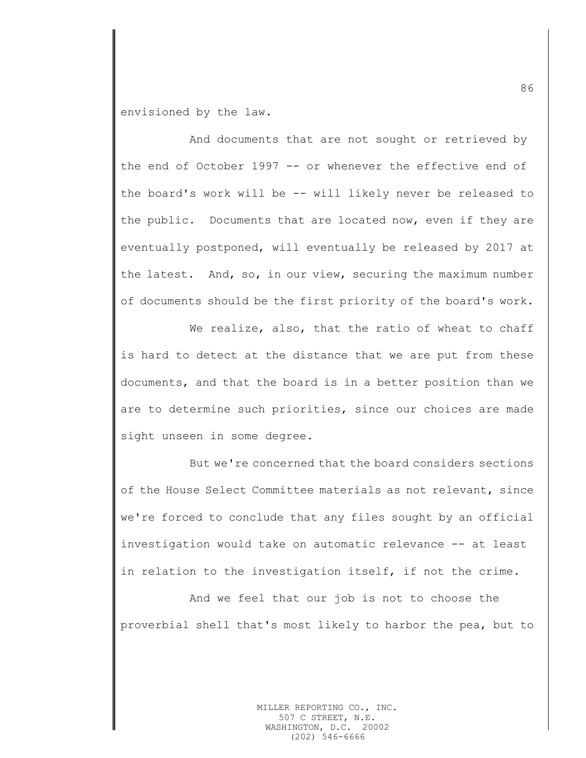envisioned by the law.

And documents that are not sought or retrieved by the end of October 1997 -- or whenever the effective end of the board's work will be -- will likely never be released to the public. Documents that are located now, even if they are eventually postponed, will eventually be released by 2017 at the latest. And, so, in our view, securing the maximum number of documents should be the first priority of the board's work.

We realize, also, that the ratio of wheat to chaff is hard to detect at the distance that we are put from these documents, and that the board is in a better position than we are to determine such priorities, since our choices are made sight unseen in some degree.

But we're concerned that the board considers sections of the House Select Committee materials as not relevant, since we're forced to conclude that any files sought by an official investigation would take on automatic relevance -- at least in relation to the investigation itself, if not the crime.

And we feel that our job is not to choose the proverbial shell that's most likely to harbor the pea, but to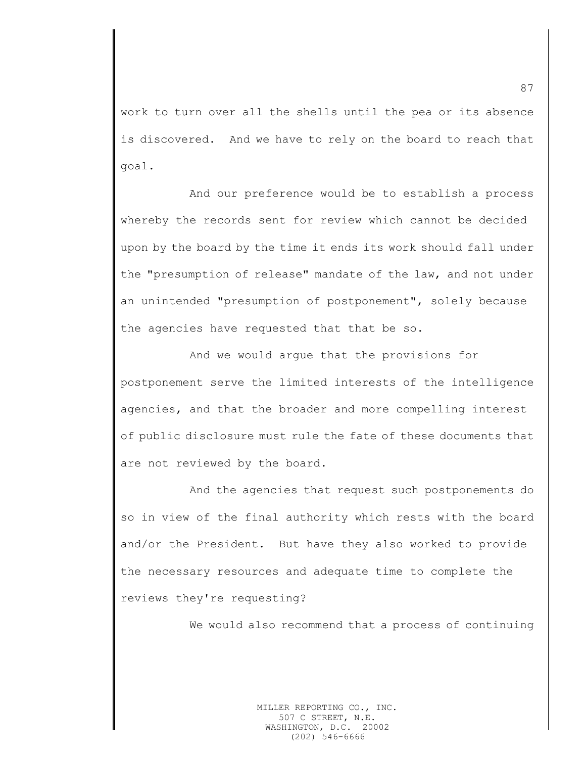work to turn over all the shells until the pea or its absence is discovered. And we have to rely on the board to reach that goal.

And our preference would be to establish a process whereby the records sent for review which cannot be decided upon by the board by the time it ends its work should fall under the "presumption of release" mandate of the law, and not under an unintended "presumption of postponement", solely because the agencies have requested that that be so.

And we would argue that the provisions for postponement serve the limited interests of the intelligence agencies, and that the broader and more compelling interest of public disclosure must rule the fate of these documents that are not reviewed by the board.

And the agencies that request such postponements do so in view of the final authority which rests with the board and/or the President. But have they also worked to provide the necessary resources and adequate time to complete the reviews they're requesting?

We would also recommend that a process of continuing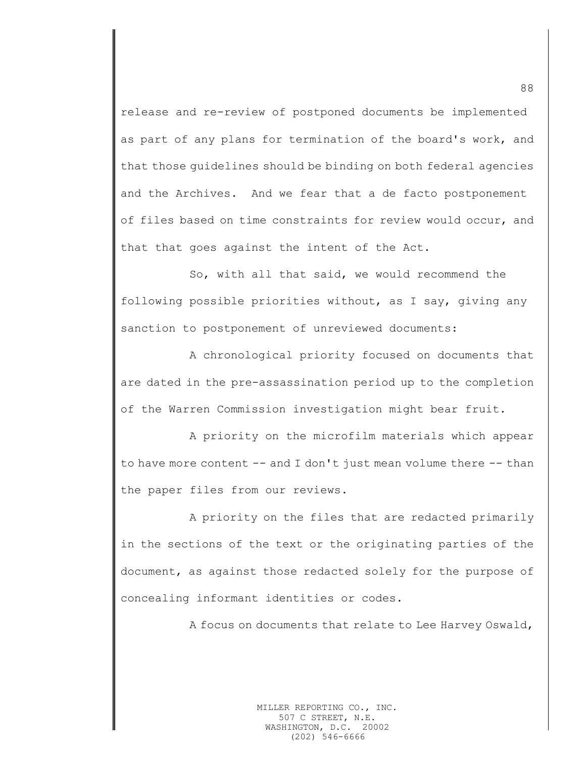release and re-review of postponed documents be implemented as part of any plans for termination of the board's work, and that those guidelines should be binding on both federal agencies and the Archives. And we fear that a de facto postponement of files based on time constraints for review would occur, and that that goes against the intent of the Act.

So, with all that said, we would recommend the following possible priorities without, as I say, giving any sanction to postponement of unreviewed documents:

A chronological priority focused on documents that are dated in the pre-assassination period up to the completion of the Warren Commission investigation might bear fruit.

A priority on the microfilm materials which appear to have more content -- and I don't just mean volume there -- than the paper files from our reviews.

A priority on the files that are redacted primarily in the sections of the text or the originating parties of the document, as against those redacted solely for the purpose of concealing informant identities or codes.

A focus on documents that relate to Lee Harvey Oswald,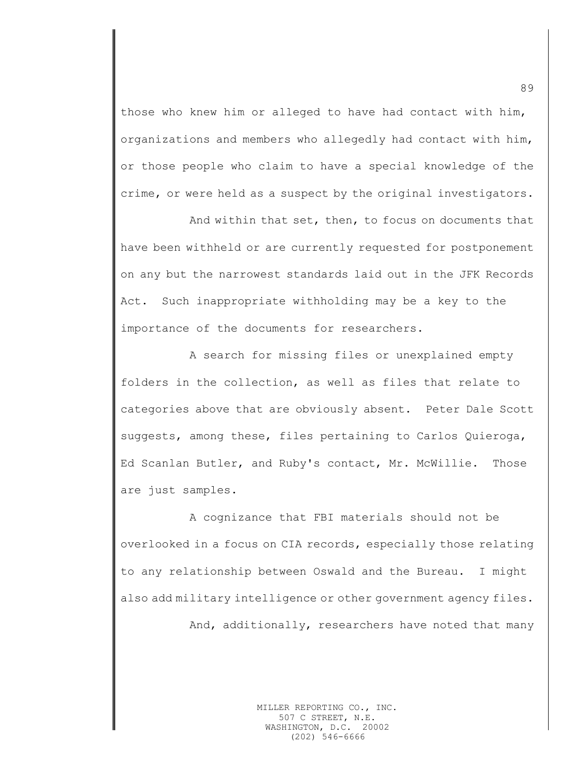those who knew him or alleged to have had contact with him, organizations and members who allegedly had contact with him, or those people who claim to have a special knowledge of the crime, or were held as a suspect by the original investigators.

And within that set, then, to focus on documents that have been withheld or are currently requested for postponement on any but the narrowest standards laid out in the JFK Records Act. Such inappropriate withholding may be a key to the importance of the documents for researchers.

A search for missing files or unexplained empty folders in the collection, as well as files that relate to categories above that are obviously absent. Peter Dale Scott suggests, among these, files pertaining to Carlos Quieroga, Ed Scanlan Butler, and Ruby's contact, Mr. McWillie. Those are just samples.

A cognizance that FBI materials should not be overlooked in a focus on CIA records, especially those relating to any relationship between Oswald and the Bureau. I might also add military intelligence or other government agency files.

And, additionally, researchers have noted that many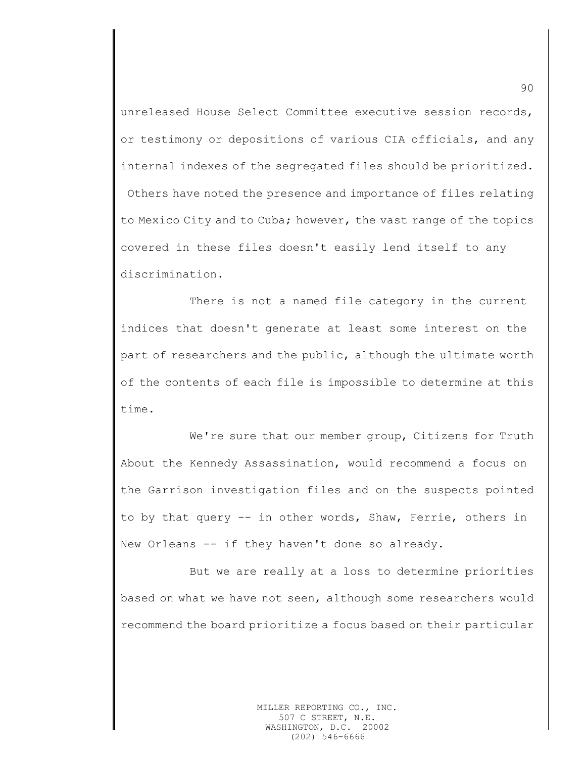unreleased House Select Committee executive session records, or testimony or depositions of various CIA officials, and any internal indexes of the segregated files should be prioritized. Others have noted the presence and importance of files relating to Mexico City and to Cuba; however, the vast range of the topics covered in these files doesn't easily lend itself to any discrimination.

There is not a named file category in the current indices that doesn't generate at least some interest on the part of researchers and the public, although the ultimate worth of the contents of each file is impossible to determine at this time.

We're sure that our member group, Citizens for Truth About the Kennedy Assassination, would recommend a focus on the Garrison investigation files and on the suspects pointed to by that query -- in other words, Shaw, Ferrie, others in New Orleans -- if they haven't done so already.

But we are really at a loss to determine priorities based on what we have not seen, although some researchers would recommend the board prioritize a focus based on their particular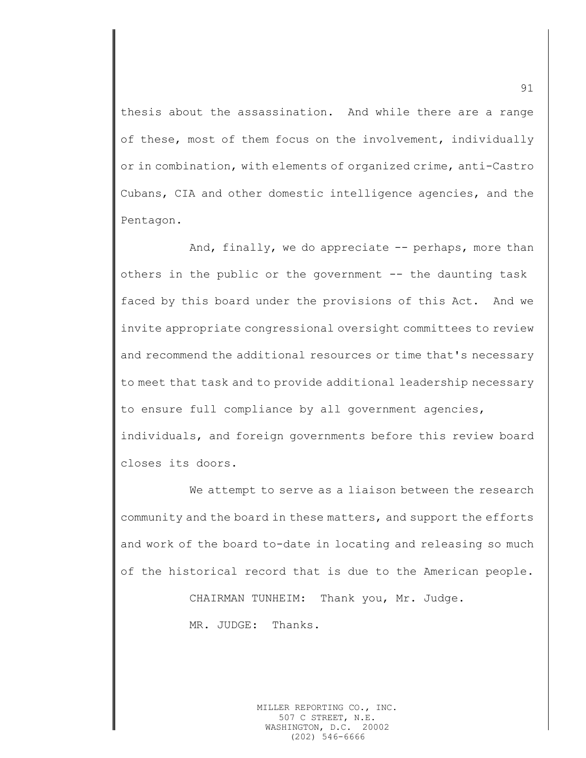thesis about the assassination. And while there are a range of these, most of them focus on the involvement, individually or in combination, with elements of organized crime, anti-Castro Cubans, CIA and other domestic intelligence agencies, and the Pentagon.

And, finally, we do appreciate -- perhaps, more than others in the public or the government -- the daunting task faced by this board under the provisions of this Act. And we invite appropriate congressional oversight committees to review and recommend the additional resources or time that's necessary to meet that task and to provide additional leadership necessary to ensure full compliance by all government agencies, individuals, and foreign governments before this review board closes its doors.

We attempt to serve as a liaison between the research community and the board in these matters, and support the efforts and work of the board to-date in locating and releasing so much of the historical record that is due to the American people.

> CHAIRMAN TUNHEIM: Thank you, Mr. Judge. MR. JUDGE: Thanks.

> > MILLER REPORTING CO., INC. 507 C STREET, N.E. WASHINGTON, D.C. 20002 (202) 546-6666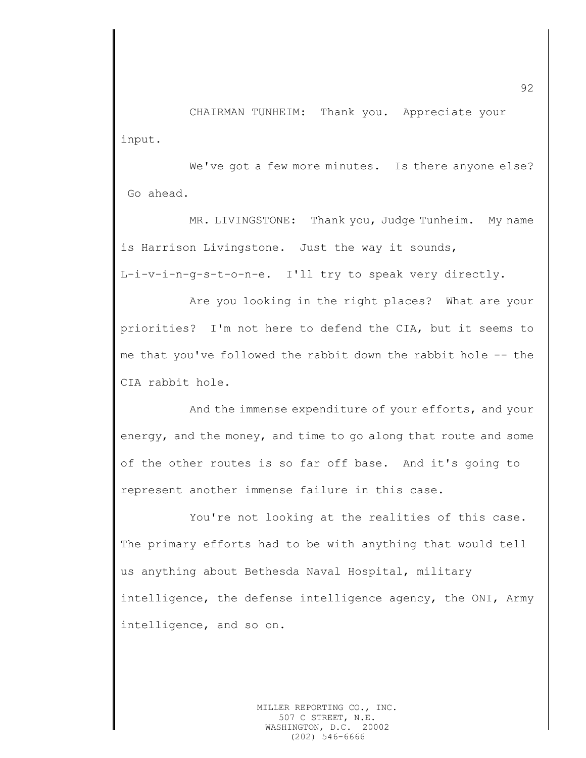CHAIRMAN TUNHEIM: Thank you. Appreciate your input.

We've got a few more minutes. Is there anyone else? Go ahead.

MR. LIVINGSTONE: Thank you, Judge Tunheim. My name is Harrison Livingstone. Just the way it sounds,

L-i-v-i-n-g-s-t-o-n-e. I'll try to speak very directly.

Are you looking in the right places? What are your priorities? I'm not here to defend the CIA, but it seems to me that you've followed the rabbit down the rabbit hole -- the CIA rabbit hole.

And the immense expenditure of your efforts, and your energy, and the money, and time to go along that route and some of the other routes is so far off base. And it's going to represent another immense failure in this case.

You're not looking at the realities of this case. The primary efforts had to be with anything that would tell us anything about Bethesda Naval Hospital, military intelligence, the defense intelligence agency, the ONI, Army intelligence, and so on.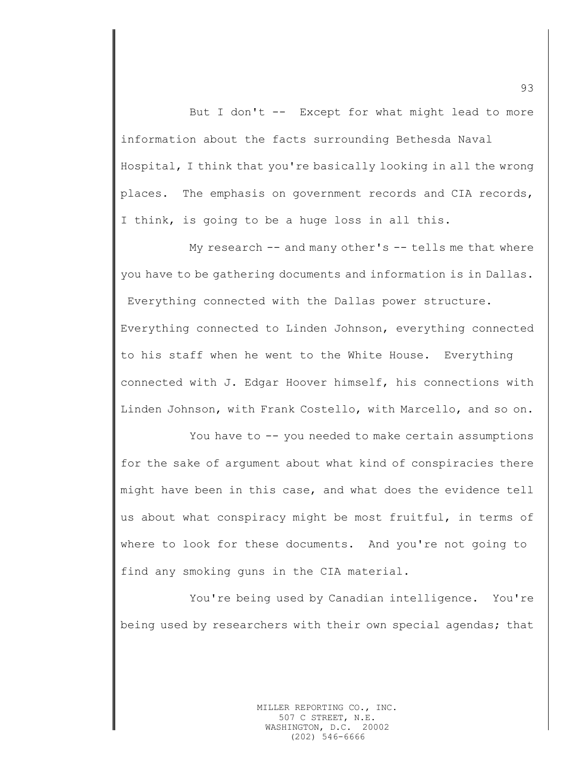But I don't -- Except for what might lead to more information about the facts surrounding Bethesda Naval Hospital, I think that you're basically looking in all the wrong places. The emphasis on government records and CIA records, I think, is going to be a huge loss in all this.

My research -- and many other's -- tells me that where you have to be gathering documents and information is in Dallas. Everything connected with the Dallas power structure. Everything connected to Linden Johnson, everything connected to his staff when he went to the White House. Everything connected with J. Edgar Hoover himself, his connections with Linden Johnson, with Frank Costello, with Marcello, and so on.

You have to -- you needed to make certain assumptions for the sake of argument about what kind of conspiracies there might have been in this case, and what does the evidence tell us about what conspiracy might be most fruitful, in terms of where to look for these documents. And you're not going to find any smoking guns in the CIA material.

You're being used by Canadian intelligence. You're being used by researchers with their own special agendas; that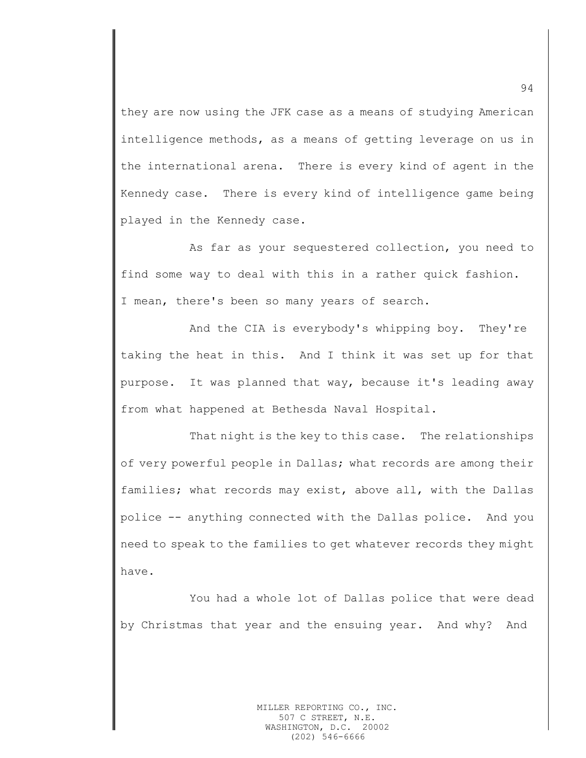they are now using the JFK case as a means of studying American intelligence methods, as a means of getting leverage on us in the international arena. There is every kind of agent in the Kennedy case. There is every kind of intelligence game being played in the Kennedy case.

As far as your sequestered collection, you need to find some way to deal with this in a rather quick fashion. I mean, there's been so many years of search.

And the CIA is everybody's whipping boy. They're taking the heat in this. And I think it was set up for that purpose. It was planned that way, because it's leading away from what happened at Bethesda Naval Hospital.

That night is the key to this case. The relationships of very powerful people in Dallas; what records are among their families; what records may exist, above all, with the Dallas police -- anything connected with the Dallas police. And you need to speak to the families to get whatever records they might have.

You had a whole lot of Dallas police that were dead by Christmas that year and the ensuing year. And why? And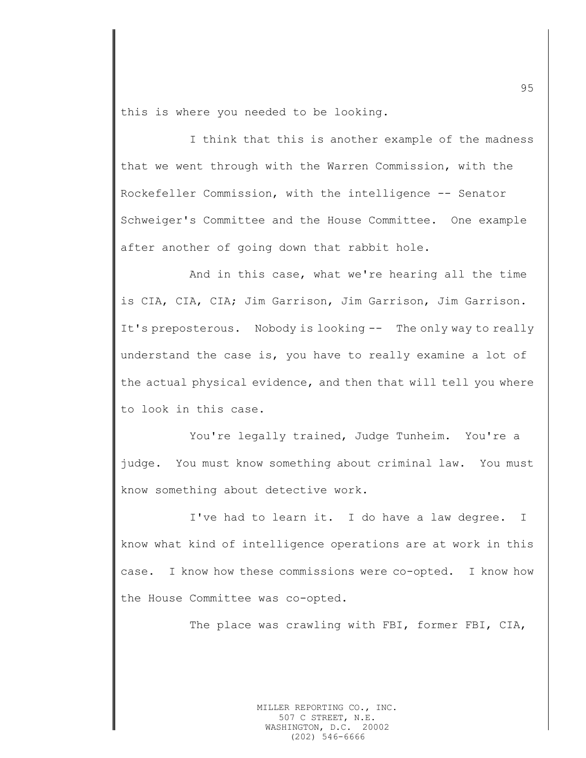this is where you needed to be looking.

I think that this is another example of the madness that we went through with the Warren Commission, with the Rockefeller Commission, with the intelligence -- Senator Schweiger's Committee and the House Committee. One example after another of going down that rabbit hole.

And in this case, what we're hearing all the time is CIA, CIA, CIA; Jim Garrison, Jim Garrison, Jim Garrison. It's preposterous. Nobody is looking -- The only way to really understand the case is, you have to really examine a lot of the actual physical evidence, and then that will tell you where to look in this case.

You're legally trained, Judge Tunheim. You're a judge. You must know something about criminal law. You must know something about detective work.

I've had to learn it. I do have a law degree. I know what kind of intelligence operations are at work in this case. I know how these commissions were co-opted. I know how the House Committee was co-opted.

The place was crawling with FBI, former FBI, CIA,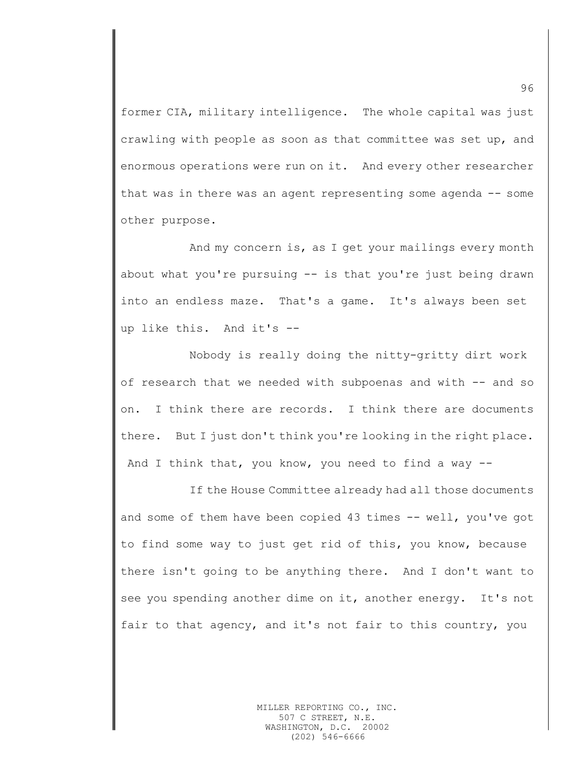former CIA, military intelligence. The whole capital was just crawling with people as soon as that committee was set up, and enormous operations were run on it. And every other researcher that was in there was an agent representing some agenda -- some other purpose.

And my concern is, as I get your mailings every month about what you're pursuing -- is that you're just being drawn into an endless maze. That's a game. It's always been set up like this. And it's --

Nobody is really doing the nitty-gritty dirt work of research that we needed with subpoenas and with -- and so on. I think there are records. I think there are documents there. But I just don't think you're looking in the right place. And I think that, you know, you need to find a way  $-$ 

If the House Committee already had all those documents and some of them have been copied 43 times -- well, you've got to find some way to just get rid of this, you know, because there isn't going to be anything there. And I don't want to see you spending another dime on it, another energy. It's not fair to that agency, and it's not fair to this country, you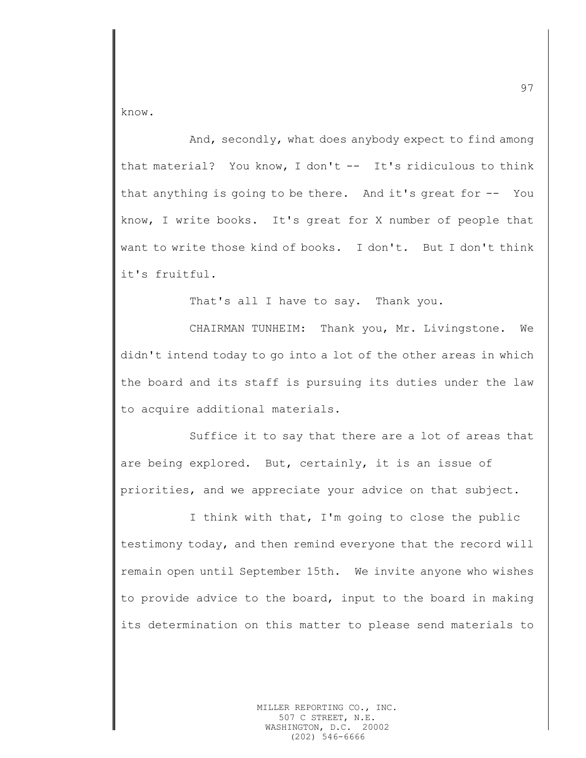know.

And, secondly, what does anybody expect to find among that material? You know, I don't -- It's ridiculous to think that anything is going to be there. And it's great for -- You know, I write books. It's great for X number of people that want to write those kind of books. I don't. But I don't think it's fruitful.

That's all I have to say. Thank you.

CHAIRMAN TUNHEIM: Thank you, Mr. Livingstone. We didn't intend today to go into a lot of the other areas in which the board and its staff is pursuing its duties under the law to acquire additional materials.

Suffice it to say that there are a lot of areas that are being explored. But, certainly, it is an issue of priorities, and we appreciate your advice on that subject.

I think with that, I'm going to close the public testimony today, and then remind everyone that the record will remain open until September 15th. We invite anyone who wishes to provide advice to the board, input to the board in making its determination on this matter to please send materials to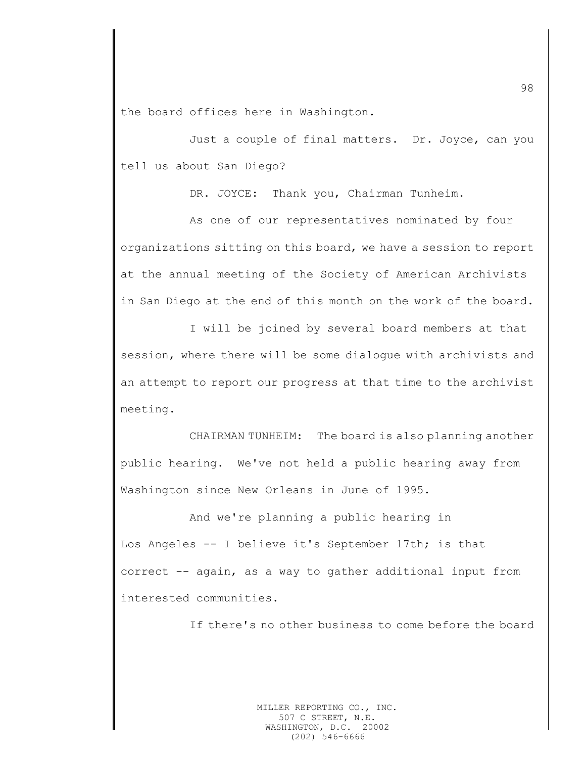the board offices here in Washington.

Just a couple of final matters. Dr. Joyce, can you tell us about San Diego?

DR. JOYCE: Thank you, Chairman Tunheim.

As one of our representatives nominated by four organizations sitting on this board, we have a session to report at the annual meeting of the Society of American Archivists in San Diego at the end of this month on the work of the board.

I will be joined by several board members at that session, where there will be some dialogue with archivists and an attempt to report our progress at that time to the archivist meeting.

CHAIRMAN TUNHEIM: The board is also planning another public hearing. We've not held a public hearing away from Washington since New Orleans in June of 1995.

And we're planning a public hearing in Los Angeles -- I believe it's September 17th; is that correct -- again, as a way to gather additional input from interested communities.

If there's no other business to come before the board

MILLER REPORTING CO., INC. 507 C STREET, N.E. WASHINGTON, D.C. 20002 (202) 546-6666